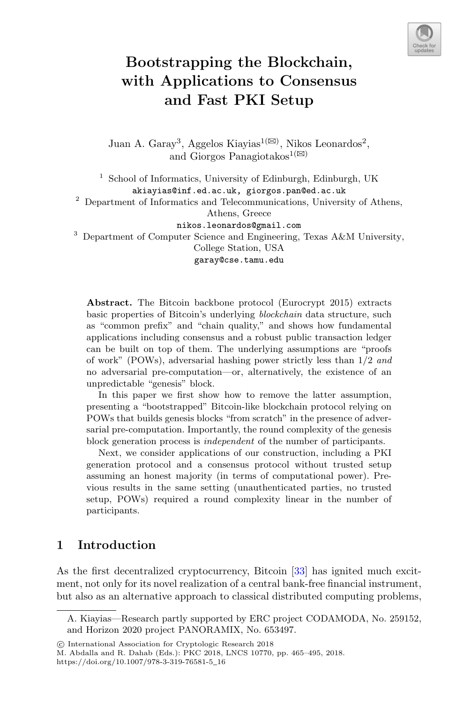

# **Bootstrapping the Blockchain, with Applications to Consensus and Fast PKI Setup**

Juan A. Garay<sup>3</sup>, Aggelos Kiayias<sup>1( $\boxtimes$ )</sup>, Nikos Leonardos<sup>2</sup>, and Giorgos Panagiotakos<sup>1( $\boxtimes$ )</sup>

<sup>1</sup> School of Informatics, University of Edinburgh, Edinburgh, UK akiayias@inf.ed.ac.uk, giorgos.pan@ed.ac.uk  $2$  Department of Informatics and Telecommunications, University of Athens, Athens, Greece nikos.leonardos@gmail.com <sup>3</sup> Department of Computer Science and Engineering, Texas A&M University, College Station, USA

garay@cse.tamu.edu

**Abstract.** The Bitcoin backbone protocol (Eurocrypt 2015) extracts basic properties of Bitcoin's underlying *blockchain* data structure, such as "common prefix" and "chain quality," and shows how fundamental applications including consensus and a robust public transaction ledger can be built on top of them. The underlying assumptions are "proofs of work" (POWs), adversarial hashing power strictly less than 1/2 *and* no adversarial pre-computation—or, alternatively, the existence of an unpredictable "genesis" block.

In this paper we first show how to remove the latter assumption, presenting a "bootstrapped" Bitcoin-like blockchain protocol relying on POWs that builds genesis blocks "from scratch" in the presence of adversarial pre-computation. Importantly, the round complexity of the genesis block generation process is *independent* of the number of participants.

Next, we consider applications of our construction, including a PKI generation protocol and a consensus protocol without trusted setup assuming an honest majority (in terms of computational power). Previous results in the same setting (unauthenticated parties, no trusted setup, POWs) required a round complexity linear in the number of participants.

# <span id="page-0-0"></span>**1 Introduction**

As the first decentralized cryptocurrency, Bitcoin [\[33\]](#page-30-0) has ignited much excitment, not only for its novel realization of a central bank-free financial instrument, but also as an alternative approach to classical distributed computing problems,

A. Kiayias—Research partly supported by ERC project CODAMODA, No. 259152, and Horizon 2020 project PANORAMIX, No. 653497.

<sup>-</sup>c International Association for Cryptologic Research 2018

M. Abdalla and R. Dahab (Eds.): PKC 2018, LNCS 10770, pp. 465–495, 2018. https://doi.org/10.1007/978-3-319-76581-5\_16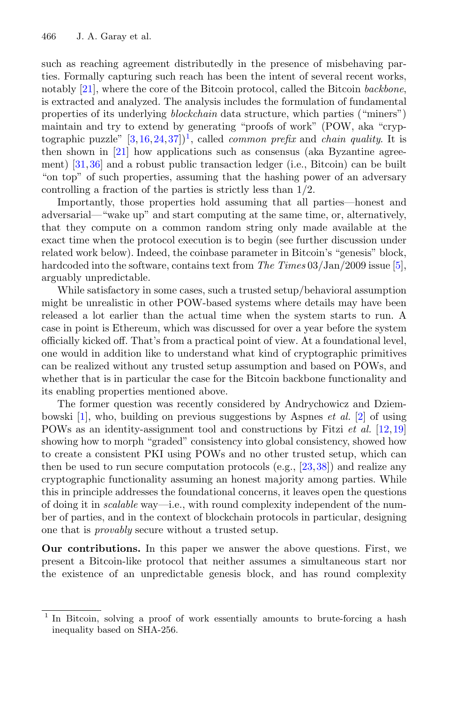such as reaching agreement distributedly in the presence of misbehaving parties. Formally capturing such reach has been the intent of several recent works, notably [\[21\]](#page-29-0), where the core of the Bitcoin protocol, called the Bitcoin *backbone*, is extracted and analyzed. The analysis includes the formulation of fundamental properties of its underlying *blockchain* data structure, which parties ("miners") maintain and try to extend by generating "proofs of work" (POW, aka "cryptographic puzzle"  $[3,16,24,37]$  $[3,16,24,37]$  $[3,16,24,37]$  $[3,16,24,37]$  $[3,16,24,37]$  $[3,16,24,37]$ <sup>[1](#page-1-0)</sup>, called *common prefix* and *chain quality*. It is then shown in [\[21\]](#page-29-0) how applications such as consensus (aka Byzantine agreement) [\[31](#page-29-3)[,36\]](#page-30-2) and a robust public transaction ledger (i.e., Bitcoin) can be built "on top" of such properties, assuming that the hashing power of an adversary controlling a fraction of the parties is strictly less than 1/2.

Importantly, those properties hold assuming that all parties—honest and adversarial—"wake up" and start computing at the same time, or, alternatively, that they compute on a common random string only made available at the exact time when the protocol execution is to begin (see further discussion under related work below). Indeed, the coinbase parameter in Bitcoin's "genesis" block, hardcoded into the software, contains text from *The Times* 03/Jan/2009 issue [\[5\]](#page-28-1), arguably unpredictable.

While satisfactory in some cases, such a trusted setup/behavioral assumption might be unrealistic in other POW-based systems where details may have been released a lot earlier than the actual time when the system starts to run. A case in point is Ethereum, which was discussed for over a year before the system officially kicked off. That's from a practical point of view. At a foundational level, one would in addition like to understand what kind of cryptographic primitives can be realized without any trusted setup assumption and based on POWs, and whether that is in particular the case for the Bitcoin backbone functionality and its enabling properties mentioned above.

The former question was recently considered by Andrychowicz and Dziembowski [\[1\]](#page-28-2), who, building on previous suggestions by Aspnes *et al.* [\[2](#page-28-3)] of using POWs as an identity-assignment tool and constructions by Fitzi *et al.* [\[12](#page-29-4)[,19](#page-29-5)] showing how to morph "graded" consistency into global consistency, showed how to create a consistent PKI using POWs and no other trusted setup, which can then be used to run secure computation protocols (e.g., [\[23](#page-29-6),[38\]](#page-30-3)) and realize any cryptographic functionality assuming an honest majority among parties. While this in principle addresses the foundational concerns, it leaves open the questions of doing it in *scalable* way—i.e., with round complexity independent of the number of parties, and in the context of blockchain protocols in particular, designing one that is *provably* secure without a trusted setup.

**Our contributions.** In this paper we answer the above questions. First, we present a Bitcoin-like protocol that neither assumes a simultaneous start nor the existence of an unpredictable genesis block, and has round complexity

<span id="page-1-0"></span><sup>&</sup>lt;sup>1</sup> In Bitcoin, solving a proof of work essentially amounts to brute-forcing a hash inequality based on SHA-256.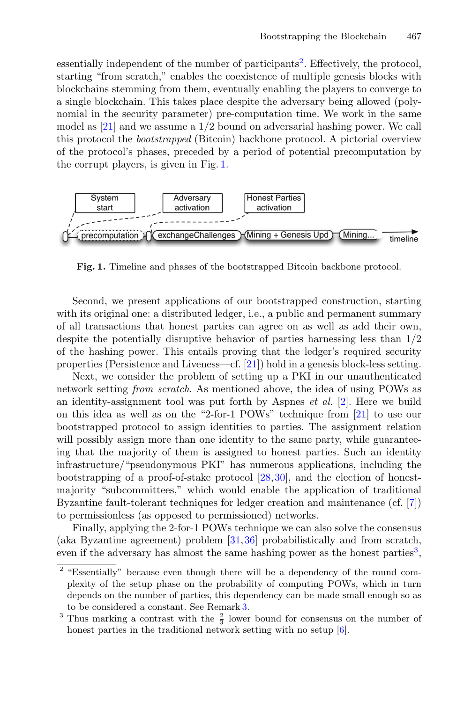essentially independent of the number of participants<sup>[2](#page-2-0)</sup>. Effectively, the protocol, starting "from scratch," enables the coexistence of multiple genesis blocks with blockchains stemming from them, eventually enabling the players to converge to a single blockchain. This takes place despite the adversary being allowed (polynomial in the security parameter) pre-computation time. We work in the same model as [\[21](#page-29-0)] and we assume a 1/2 bound on adversarial hashing power. We call this protocol the *bootstrapped* (Bitcoin) backbone protocol. A pictorial overview of the protocol's phases, preceded by a period of potential precomputation by the corrupt players, is given in Fig. [1.](#page-2-1)



<span id="page-2-1"></span>**Fig. 1.** Timeline and phases of the bootstrapped Bitcoin backbone protocol.

Second, we present applications of our bootstrapped construction, starting with its original one: a distributed ledger, i.e., a public and permanent summary of all transactions that honest parties can agree on as well as add their own, despite the potentially disruptive behavior of parties harnessing less than 1/2 of the hashing power. This entails proving that the ledger's required security properties (Persistence and Liveness—cf. [\[21](#page-29-0)]) hold in a genesis block-less setting.

Next, we consider the problem of setting up a PKI in our unauthenticated network setting *from scratch*. As mentioned above, the idea of using POWs as an identity-assignment tool was put forth by Aspnes *et al.* [\[2\]](#page-28-3). Here we build on this idea as well as on the "2-for-1 POWs" technique from [\[21](#page-29-0)] to use our bootstrapped protocol to assign identities to parties. The assignment relation will possibly assign more than one identity to the same party, while guaranteeing that the majority of them is assigned to honest parties. Such an identity infrastructure/"pseudonymous PKI" has numerous applications, including the bootstrapping of a proof-of-stake protocol [\[28](#page-29-7)[,30](#page-29-8)], and the election of honestmajority "subcommittees," which would enable the application of traditional Byzantine fault-tolerant techniques for ledger creation and maintenance (cf. [\[7\]](#page-28-4)) to permissionless (as opposed to permissioned) networks.

Finally, applying the 2-for-1 POWs technique we can also solve the consensus (aka Byzantine agreement) problem [\[31,](#page-29-3)[36\]](#page-30-2) probabilistically and from scratch, even if the adversary has almost the same hashing power as the honest parties<sup>[3](#page-2-2)</sup>,

<span id="page-2-0"></span><sup>2</sup> "Essentially" because even though there will be a dependency of the round complexity of the setup phase on the probability of computing POWs, which in turn depends on the number of parties, this dependency can be made small enough so as to be considered a constant. See Remark [3.](#page-19-0)

<span id="page-2-2"></span><sup>&</sup>lt;sup>3</sup> Thus marking a contrast with the  $\frac{2}{3}$  lower bound for consensus on the number of honest parties in the traditional network setting with no setup  $[6]$  $[6]$ .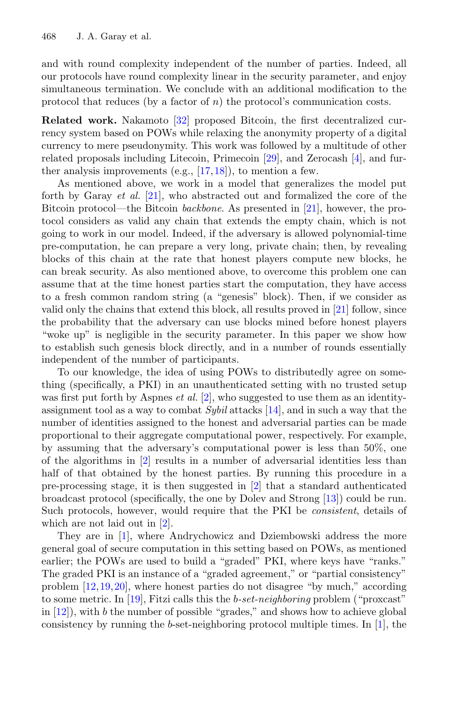and with round complexity independent of the number of parties. Indeed, all our protocols have round complexity linear in the security parameter, and enjoy simultaneous termination. We conclude with an additional modification to the protocol that reduces (by a factor of  $n$ ) the protocol's communication costs.

**Related work.** Nakamoto [\[32\]](#page-30-4) proposed Bitcoin, the first decentralized currency system based on POWs while relaxing the anonymity property of a digital currency to mere pseudonymity. This work was followed by a multitude of other related proposals including Litecoin, Primecoin [\[29](#page-29-9)], and Zerocash [\[4\]](#page-28-6), and further analysis improvements (e.g.,  $[17, 18]$  $[17, 18]$ ), to mention a few.

As mentioned above, we work in a model that generalizes the model put forth by Garay *et al.* [\[21](#page-29-0)], who abstracted out and formalized the core of the Bitcoin protocol—the Bitcoin *backbone*. As presented in [\[21](#page-29-0)], however, the protocol considers as valid any chain that extends the empty chain, which is not going to work in our model. Indeed, if the adversary is allowed polynomial-time pre-computation, he can prepare a very long, private chain; then, by revealing blocks of this chain at the rate that honest players compute new blocks, he can break security. As also mentioned above, to overcome this problem one can assume that at the time honest parties start the computation, they have access to a fresh common random string (a "genesis" block). Then, if we consider as valid only the chains that extend this block, all results proved in [\[21](#page-29-0)] follow, since the probability that the adversary can use blocks mined before honest players "woke up" is negligible in the security parameter. In this paper we show how to establish such genesis block directly, and in a number of rounds essentially independent of the number of participants.

To our knowledge, the idea of using POWs to distributedly agree on something (specifically, a PKI) in an unauthenticated setting with no trusted setup was first put forth by Aspnes *et al.* [\[2\]](#page-28-3), who suggested to use them as an identityassignment tool as a way to combat *Sybil* attacks [\[14\]](#page-29-12), and in such a way that the number of identities assigned to the honest and adversarial parties can be made proportional to their aggregate computational power, respectively. For example, by assuming that the adversary's computational power is less than 50%, one of the algorithms in [\[2](#page-28-3)] results in a number of adversarial identities less than half of that obtained by the honest parties. By running this procedure in a pre-processing stage, it is then suggested in [\[2](#page-28-3)] that a standard authenticated broadcast protocol (specifically, the one by Dolev and Strong [\[13\]](#page-29-13)) could be run. Such protocols, however, would require that the PKI be *consistent*, details of which are not laid out in [\[2\]](#page-28-3).

They are in [\[1](#page-28-2)], where Andrychowicz and Dziembowski address the more general goal of secure computation in this setting based on POWs, as mentioned earlier; the POWs are used to build a "graded" PKI, where keys have "ranks." The graded PKI is an instance of a "graded agreement," or "partial consistency" problem [\[12,](#page-29-4)[19](#page-29-5)[,20](#page-29-14)], where honest parties do not disagree "by much," according to some metric. In [\[19\]](#page-29-5), Fitzi calls this the b*-set-neighboring* problem ("proxcast" in  $[12]$  $[12]$ , with b the number of possible "grades," and shows how to achieve global consistency by running the b-set-neighboring protocol multiple times. In  $[1]$ , the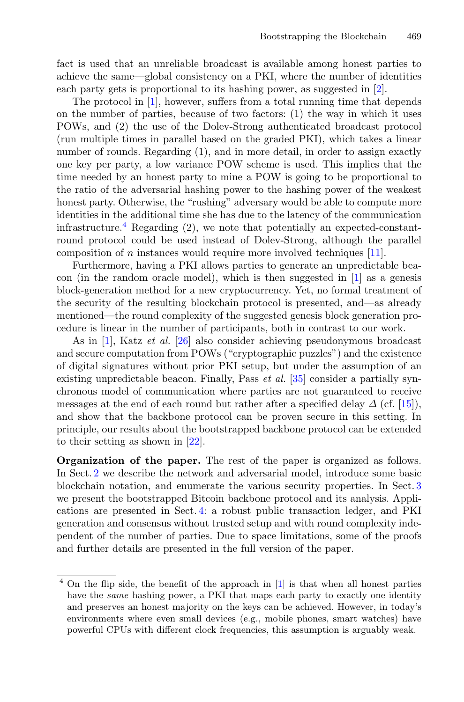fact is used that an unreliable broadcast is available among honest parties to achieve the same—global consistency on a PKI, where the number of identities each party gets is proportional to its hashing power, as suggested in [\[2\]](#page-28-3).

The protocol in [\[1](#page-28-2)], however, suffers from a total running time that depends on the number of parties, because of two factors: (1) the way in which it uses POWs, and (2) the use of the Dolev-Strong authenticated broadcast protocol (run multiple times in parallel based on the graded PKI), which takes a linear number of rounds. Regarding (1), and in more detail, in order to assign exactly one key per party, a low variance POW scheme is used. This implies that the time needed by an honest party to mine a POW is going to be proportional to the ratio of the adversarial hashing power to the hashing power of the weakest honest party. Otherwise, the "rushing" adversary would be able to compute more identities in the additional time she has due to the latency of the communication infrastructure.<sup>[4](#page-4-0)</sup> Regarding  $(2)$ , we note that potentially an expected-constantround protocol could be used instead of Dolev-Strong, although the parallel composition of n instances would require more involved techniques [\[11\]](#page-29-15).

Furthermore, having a PKI allows parties to generate an unpredictable beacon (in the random oracle model), which is then suggested in [\[1](#page-28-2)] as a genesis block-generation method for a new cryptocurrency. Yet, no formal treatment of the security of the resulting blockchain protocol is presented, and—as already mentioned—the round complexity of the suggested genesis block generation procedure is linear in the number of participants, both in contrast to our work.

As in [\[1](#page-28-2)], Katz *et al.* [\[26](#page-29-16)] also consider achieving pseudonymous broadcast and secure computation from POWs ("cryptographic puzzles") and the existence of digital signatures without prior PKI setup, but under the assumption of an existing unpredictable beacon. Finally, Pass *et al.* [\[35](#page-30-5)] consider a partially synchronous model of communication where parties are not guaranteed to receive messages at the end of each round but rather after a specified delay  $\Delta$  (cf. [\[15\]](#page-29-17)), and show that the backbone protocol can be proven secure in this setting. In principle, our results about the bootstrapped backbone protocol can be extended to their setting as shown in [\[22](#page-29-18)].

**Organization of the paper.** The rest of the paper is organized as follows. In Sect. [2](#page-5-0) we describe the network and adversarial model, introduce some basic blockchain notation, and enumerate the various security properties. In Sect. [3](#page-8-0) we present the bootstrapped Bitcoin backbone protocol and its analysis. Applications are presented in Sect. [4:](#page-22-0) a robust public transaction ledger, and PKI generation and consensus without trusted setup and with round complexity independent of the number of parties. Due to space limitations, some of the proofs and further details are presented in the full version of the paper.

<span id="page-4-0"></span><sup>&</sup>lt;sup>4</sup> On the flip side, the benefit of the approach in [\[1\]](#page-28-2) is that when all honest parties have the *same* hashing power, a PKI that maps each party to exactly one identity and preserves an honest majority on the keys can be achieved. However, in today's environments where even small devices (e.g., mobile phones, smart watches) have powerful CPUs with different clock frequencies, this assumption is arguably weak.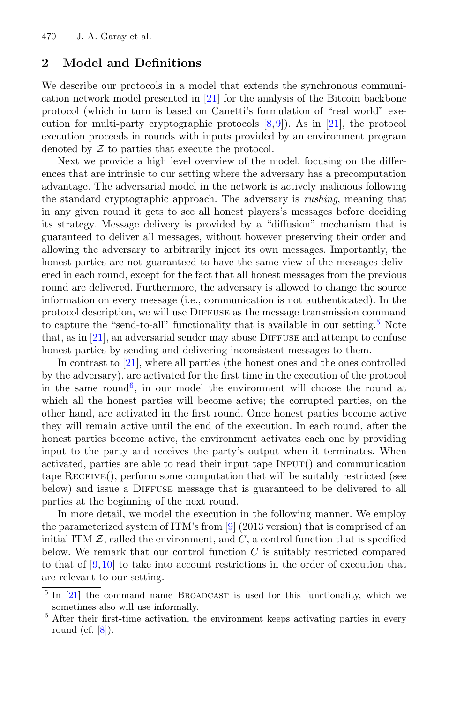## <span id="page-5-0"></span>**2 Model and Definitions**

We describe our protocols in a model that extends the synchronous communication network model presented in [\[21\]](#page-29-0) for the analysis of the Bitcoin backbone protocol (which in turn is based on Canetti's formulation of "real world" execution for multi-party cryptographic protocols  $[8,9]$  $[8,9]$  $[8,9]$ ). As in [\[21](#page-29-0)], the protocol execution proceeds in rounds with inputs provided by an environment program denoted by  $Z$  to parties that execute the protocol.

Next we provide a high level overview of the model, focusing on the differences that are intrinsic to our setting where the adversary has a precomputation advantage. The adversarial model in the network is actively malicious following the standard cryptographic approach. The adversary is *rushing*, meaning that in any given round it gets to see all honest players's messages before deciding its strategy. Message delivery is provided by a "diffusion" mechanism that is guaranteed to deliver all messages, without however preserving their order and allowing the adversary to arbitrarily inject its own messages. Importantly, the honest parties are not guaranteed to have the same view of the messages delivered in each round, except for the fact that all honest messages from the previous round are delivered. Furthermore, the adversary is allowed to change the source information on every message (i.e., communication is not authenticated). In the protocol description, we will use Diffuse as the message transmission command to capture the "send-to-all" functionality that is available in our setting.<sup>[5](#page-5-1)</sup> Note that, as in  $[21]$ , an adversarial sender may abuse DIFFUSE and attempt to confuse honest parties by sending and delivering inconsistent messages to them.

In contrast to [\[21\]](#page-29-0), where all parties (the honest ones and the ones controlled by the adversary), are activated for the first time in the execution of the protocol in the same round<sup>[6](#page-5-2)</sup>, in our model the environment will choose the round at which all the honest parties will become active; the corrupted parties, on the other hand, are activated in the first round. Once honest parties become active they will remain active until the end of the execution. In each round, after the honest parties become active, the environment activates each one by providing input to the party and receives the party's output when it terminates. When activated, parties are able to read their input tape  $\text{NPUT}()$  and communication tape Receive(), perform some computation that will be suitably restricted (see below) and issue a DIFFUSE message that is guaranteed to be delivered to all parties at the beginning of the next round.

In more detail, we model the execution in the following manner. We employ the parameterized system of ITM's from [\[9\]](#page-28-8) (2013 version) that is comprised of an initial ITM  $\mathcal{Z}$ , called the environment, and  $C$ , a control function that is specified below. We remark that our control function  $C$  is suitably restricted compared to that of [\[9](#page-28-8)[,10](#page-28-9)] to take into account restrictions in the order of execution that are relevant to our setting.

<span id="page-5-1"></span> $5$  In  $[21]$  $[21]$  the command name BROADCAST is used for this functionality, which we sometimes also will use informally.

<span id="page-5-2"></span> $6$  After their first-time activation, the environment keeps activating parties in every round (cf. [\[8](#page-28-7)]).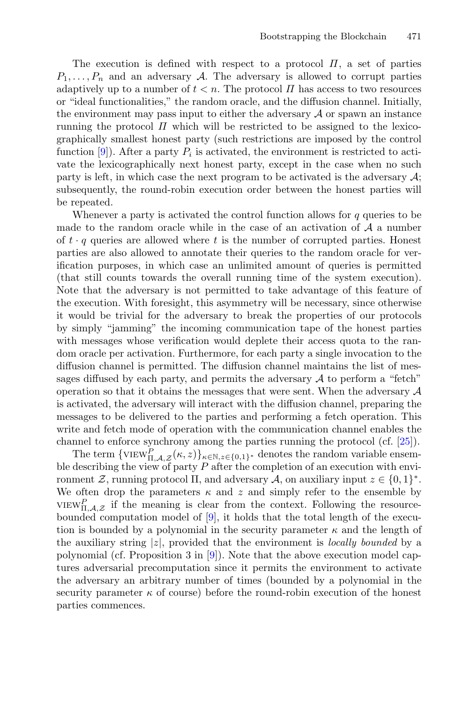The execution is defined with respect to a protocol  $\Pi$ , a set of parties  $P_1, \ldots, P_n$  and an adversary A. The adversary is allowed to corrupt parties adaptively up to a number of  $t < n$ . The protocol  $\Pi$  has access to two resources or "ideal functionalities," the random oracle, and the diffusion channel. Initially, the environment may pass input to either the adversary  $A$  or spawn an instance running the protocol  $\Pi$  which will be restricted to be assigned to the lexicographically smallest honest party (such restrictions are imposed by the control function [\[9](#page-28-8)]). After a party  $P_i$  is activated, the environment is restricted to activate the lexicographically next honest party, except in the case when no such party is left, in which case the next program to be activated is the adversary  $\mathcal{A}$ ; subsequently, the round-robin execution order between the honest parties will be repeated.

Whenever a party is activated the control function allows for  $q$  queries to be made to the random oracle while in the case of an activation of  $A$  a number of  $t \cdot q$  queries are allowed where t is the number of corrupted parties. Honest parties are also allowed to annotate their queries to the random oracle for verification purposes, in which case an unlimited amount of queries is permitted (that still counts towards the overall running time of the system execution). Note that the adversary is not permitted to take advantage of this feature of the execution. With foresight, this asymmetry will be necessary, since otherwise it would be trivial for the adversary to break the properties of our protocols by simply "jamming" the incoming communication tape of the honest parties with messages whose verification would deplete their access quota to the random oracle per activation. Furthermore, for each party a single invocation to the diffusion channel is permitted. The diffusion channel maintains the list of messages diffused by each party, and permits the adversary  $A$  to perform a "fetch" operation so that it obtains the messages that were sent. When the adversary  $\mathcal A$ is activated, the adversary will interact with the diffusion channel, preparing the messages to be delivered to the parties and performing a fetch operation. This write and fetch mode of operation with the communication channel enables the channel to enforce synchrony among the parties running the protocol (cf. [\[25\]](#page-29-19)).

The term  $\{VIEW_{II,\mathcal{A},\mathcal{Z}}^P(\kappa,z)\}_{\kappa\in\mathbb{N},z\in\{0,1\}^*}$  denotes the random variable ensemble describing the view of party  $P$  after the completion of an execution with environment Z, running protocol  $\Pi$ , and adversary A, on auxiliary input  $z \in \{0,1\}^*$ . We often drop the parameters  $\kappa$  and z and simply refer to the ensemble by VIEW $_{\text{II},\mathcal{A},\mathcal{Z}}^P$  if the meaning is clear from the context. Following the resourcebounded computation model of [\[9](#page-28-8)], it holds that the total length of the execution is bounded by a polynomial in the security parameter  $\kappa$  and the length of the auxiliary string  $|z|$ , provided that the environment is *locally bounded* by a polynomial (cf. Proposition 3 in [\[9\]](#page-28-8)). Note that the above execution model captures adversarial precomputation since it permits the environment to activate the adversary an arbitrary number of times (bounded by a polynomial in the security parameter  $\kappa$  of course) before the round-robin execution of the honest parties commences.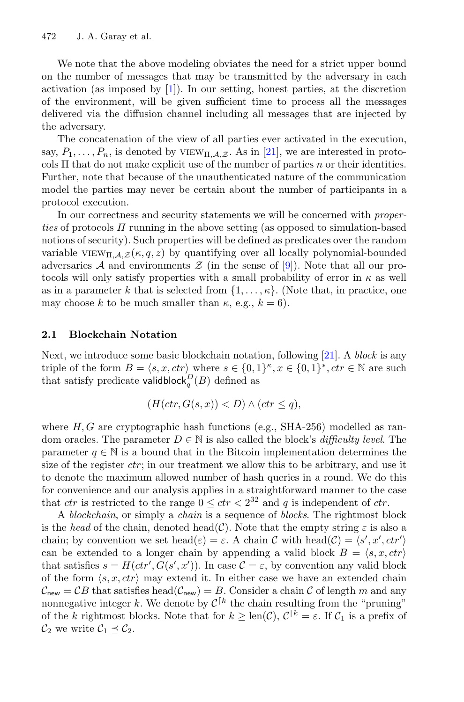We note that the above modeling obviates the need for a strict upper bound on the number of messages that may be transmitted by the adversary in each activation (as imposed by [\[1](#page-28-2)]). In our setting, honest parties, at the discretion of the environment, will be given sufficient time to process all the messages delivered via the diffusion channel including all messages that are injected by the adversary.

The concatenation of the view of all parties ever activated in the execution, say,  $P_1,\ldots,P_n$ , is denoted by VIEW<sub>II</sub>, $A,\mathcal{Z}$ . As in [\[21\]](#page-29-0), we are interested in protocols  $\Pi$  that do not make explicit use of the number of parties n or their identities. Further, note that because of the unauthenticated nature of the communication model the parties may never be certain about the number of participants in a protocol execution.

In our correctness and security statements we will be concerned with *properties* of protocols Π running in the above setting (as opposed to simulation-based notions of security). Such properties will be defined as predicates over the random variable VIEW<sub>Π, A, Z</sub>( $\kappa$ , q, z) by quantifying over all locally polynomial-bounded adversaries A and environments  $\mathcal{Z}$  (in the sense of [\[9](#page-28-8)]). Note that all our protocols will only satisfy properties with a small probability of error in  $\kappa$  as well as in a parameter k that is selected from  $\{1,\ldots,\kappa\}$ . (Note that, in practice, one may choose k to be much smaller than  $\kappa$ , e.g.,  $k = 6$ ).

#### **2.1 Blockchain Notation**

Next, we introduce some basic blockchain notation, following [\[21](#page-29-0)]. A *block* is any triple of the form  $B = \langle s, x, \text{ctr} \rangle$  where  $s \in \{0,1\}^{\kappa}, x \in \{0,1\}^*, \text{ctr} \in \mathbb{N}$  are such that satisfy predicate validblock $_{q}^{D}(B)$  defined as

$$
(H(ctr, G(s, x)) < D) \wedge (ctr \leq q),
$$

where  $H, G$  are cryptographic hash functions (e.g., SHA-256) modelled as random oracles. The parameter  $D \in \mathbb{N}$  is also called the block's *difficulty level*. The parameter  $q \in \mathbb{N}$  is a bound that in the Bitcoin implementation determines the size of the register  $ctr$ ; in our treatment we allow this to be arbitrary, and use it to denote the maximum allowed number of hash queries in a round. We do this for convenience and our analysis applies in a straightforward manner to the case that *ctr* is restricted to the range  $0 \leq c$ tr  $\lt 2^{32}$  and q is independent of *ctr*.

A *blockchain*, or simply a *chain* is a sequence of *blocks*. The rightmost block is the *head* of the chain, denoted head(C). Note that the empty string  $\varepsilon$  is also a chain; by convention we set head $(\varepsilon) = \varepsilon$ . A chain C with head $(C) = \langle s', x', ctr' \rangle$ can be extended to a longer chain by appending a valid block  $B = \langle s, x, c t r \rangle$ that satisfies  $s = H(ctr', G(s', x'))$ . In case  $C = \varepsilon$ , by convention any valid block of the form  $\langle s, x, \text{ctr} \rangle$  may extend it. In either case we have an extended chain  $\mathcal{C}_{\text{new}} = \mathcal{C}B$  that satisfies head( $\mathcal{C}_{\text{new}} = B$ . Consider a chain  $\mathcal{C}$  of length m and any nonnegative integer k. We denote by  $\mathcal{C}^{k}$  the chain resulting from the "pruning" of the k rightmost blocks. Note that for  $k \geq \text{len}(\mathcal{C})$ ,  $\mathcal{C}^{k} = \varepsilon$ . If  $\mathcal{C}_1$  is a prefix of  $\mathcal{C}_2$  we write  $\mathcal{C}_1 \preceq \mathcal{C}_2$ .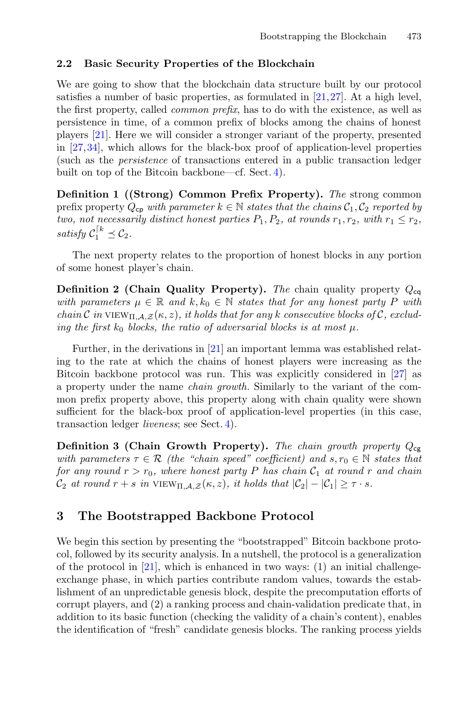#### <span id="page-8-1"></span>**2.2 Basic Security Properties of the Blockchain**

We are going to show that the blockchain data structure built by our protocol satisfies a number of basic properties, as formulated in [\[21](#page-29-0),[27\]](#page-29-20). At a high level, the first property, called *common prefix*, has to do with the existence, as well as persistence in time, of a common prefix of blocks among the chains of honest players [\[21\]](#page-29-0). Here we will consider a stronger variant of the property, presented in [\[27,](#page-29-20)[34](#page-30-6)], which allows for the black-box proof of application-level properties (such as the *persistence* of transactions entered in a public transaction ledger built on top of the Bitcoin backbone—cf. Sect. [4\)](#page-22-0).

**Definition 1 ((Strong) Common Prefix Property).** *The* strong common prefix property  $Q_{\mathsf{cp}}$  *with parameter*  $k \in \mathbb{N}$  *states that the chains*  $C_1$ ,  $C_2$  *reported by two, not necessarily distinct honest parties*  $P_1, P_2$ *, at rounds*  $r_1, r_2$ *, with*  $r_1 \leq r_2$ *, satisfy*  $C_1^{\mid k} \preceq C_2$ .

The next property relates to the proportion of honest blocks in any portion of some honest player's chain.

**Definition 2 (Chain Quality Property).** *The* chain quality property  $Q_{\text{ca}}$ *with parameters*  $\mu \in \mathbb{R}$  *and*  $k, k_0 \in \mathbb{N}$  *states that for any honest party* P *with chain* C in VIEW<sub>IL,  $A_z(z(k, z)$ , it holds that for any k consecutive blocks of C, exclud-</sub> *ing the first*  $k_0$  *blocks, the ratio of adversarial blocks is at most*  $\mu$ *.* 

Further, in the derivations in [\[21](#page-29-0)] an important lemma was established relating to the rate at which the chains of honest players were increasing as the Bitcoin backbone protocol was run. This was explicitly considered in [\[27](#page-29-20)] as a property under the name *chain growth.* Similarly to the variant of the common prefix property above, this property along with chain quality were shown sufficient for the black-box proof of application-level properties (in this case, transaction ledger *liveness*; see Sect. [4\)](#page-22-0).

**Definition 3 (Chain Growth Property).** *The chain growth property*  $Q_{cg}$ *with parameters*  $\tau \in \mathcal{R}$  *(the "chain speed" coefficient) and*  $s, r_0 \in \mathbb{N}$  *states that for any round*  $r > r_0$ *, where honest party* P *has chain*  $C_1$  *at round* r *and chain*  $\mathcal{C}_2$  *at round*  $r + s$  *in* VIEW<sub>II</sub>,  $\mathcal{A}, \mathcal{Z}(\kappa, z)$ *, it holds that*  $|\mathcal{C}_2| - |\mathcal{C}_1| \geq \tau \cdot s$ *.* 

# <span id="page-8-0"></span>**3 The Bootstrapped Backbone Protocol**

We begin this section by presenting the "bootstrapped" Bitcoin backbone protocol, followed by its security analysis. In a nutshell, the protocol is a generalization of the protocol in  $[21]$ , which is enhanced in two ways: (1) an initial challengeexchange phase, in which parties contribute random values, towards the establishment of an unpredictable genesis block, despite the precomputation efforts of corrupt players, and (2) a ranking process and chain-validation predicate that, in addition to its basic function (checking the validity of a chain's content), enables the identification of "fresh" candidate genesis blocks. The ranking process yields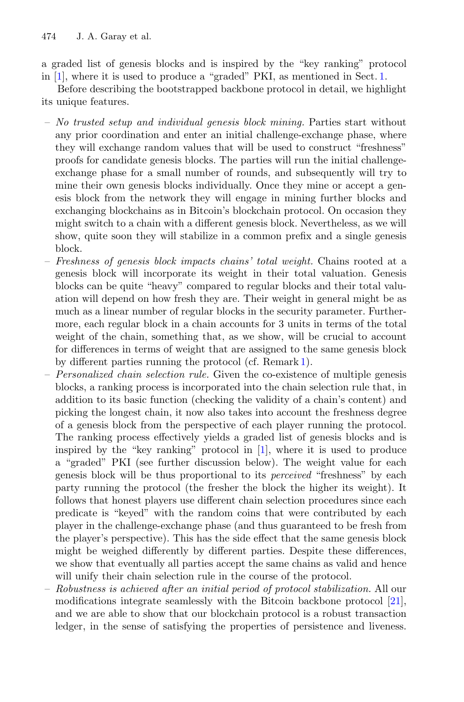a graded list of genesis blocks and is inspired by the "key ranking" protocol in [\[1\]](#page-28-2), where it is used to produce a "graded" PKI, as mentioned in Sect. [1.](#page-0-0)

Before describing the bootstrapped backbone protocol in detail, we highlight its unique features.

- *No trusted setup and individual genesis block mining.* Parties start without any prior coordination and enter an initial challenge-exchange phase, where they will exchange random values that will be used to construct "freshness" proofs for candidate genesis blocks. The parties will run the initial challengeexchange phase for a small number of rounds, and subsequently will try to mine their own genesis blocks individually. Once they mine or accept a genesis block from the network they will engage in mining further blocks and exchanging blockchains as in Bitcoin's blockchain protocol. On occasion they might switch to a chain with a different genesis block. Nevertheless, as we will show, quite soon they will stabilize in a common prefix and a single genesis block.
- *Freshness of genesis block impacts chains' total weight.* Chains rooted at a genesis block will incorporate its weight in their total valuation. Genesis blocks can be quite "heavy" compared to regular blocks and their total valuation will depend on how fresh they are. Their weight in general might be as much as a linear number of regular blocks in the security parameter. Furthermore, each regular block in a chain accounts for 3 units in terms of the total weight of the chain, something that, as we show, will be crucial to account for differences in terms of weight that are assigned to the same genesis block by different parties running the protocol (cf. Remark [1\)](#page-14-0).
- *Personalized chain selection rule.* Given the co-existence of multiple genesis blocks, a ranking process is incorporated into the chain selection rule that, in addition to its basic function (checking the validity of a chain's content) and picking the longest chain, it now also takes into account the freshness degree of a genesis block from the perspective of each player running the protocol. The ranking process effectively yields a graded list of genesis blocks and is inspired by the "key ranking" protocol in [\[1](#page-28-2)], where it is used to produce a "graded" PKI (see further discussion below). The weight value for each genesis block will be thus proportional to its *perceived* "freshness" by each party running the protocol (the fresher the block the higher its weight). It follows that honest players use different chain selection procedures since each predicate is "keyed" with the random coins that were contributed by each player in the challenge-exchange phase (and thus guaranteed to be fresh from the player's perspective). This has the side effect that the same genesis block might be weighed differently by different parties. Despite these differences, we show that eventually all parties accept the same chains as valid and hence will unify their chain selection rule in the course of the protocol.
- *Robustness is achieved after an initial period of protocol stabilization.* All our modifications integrate seamlessly with the Bitcoin backbone protocol [\[21\]](#page-29-0), and we are able to show that our blockchain protocol is a robust transaction ledger, in the sense of satisfying the properties of persistence and liveness.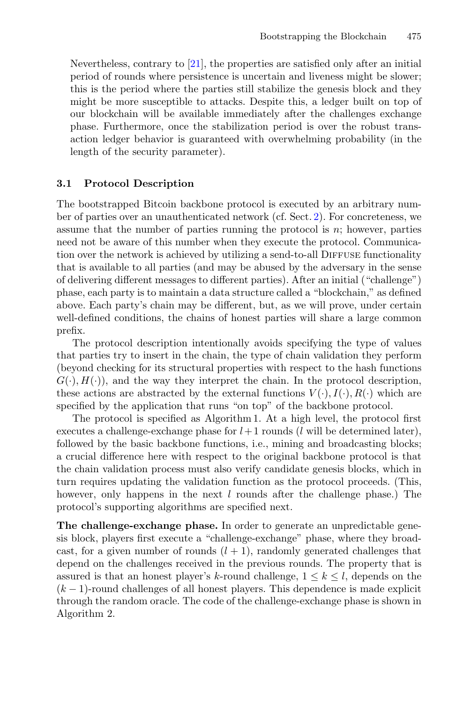Nevertheless, contrary to [\[21](#page-29-0)], the properties are satisfied only after an initial period of rounds where persistence is uncertain and liveness might be slower; this is the period where the parties still stabilize the genesis block and they might be more susceptible to attacks. Despite this, a ledger built on top of our blockchain will be available immediately after the challenges exchange phase. Furthermore, once the stabilization period is over the robust transaction ledger behavior is guaranteed with overwhelming probability (in the length of the security parameter).

#### **3.1 Protocol Description**

The bootstrapped Bitcoin backbone protocol is executed by an arbitrary number of parties over an unauthenticated network (cf. Sect. [2\)](#page-5-0). For concreteness, we assume that the number of parties running the protocol is  $n$ ; however, parties need not be aware of this number when they execute the protocol. Communication over the network is achieved by utilizing a send-to-all DIFFUSE functionality that is available to all parties (and may be abused by the adversary in the sense of delivering different messages to different parties). After an initial ("challenge") phase, each party is to maintain a data structure called a "blockchain," as defined above. Each party's chain may be different, but, as we will prove, under certain well-defined conditions, the chains of honest parties will share a large common prefix.

The protocol description intentionally avoids specifying the type of values that parties try to insert in the chain, the type of chain validation they perform (beyond checking for its structural properties with respect to the hash functions  $G(\cdot), H(\cdot)$ , and the way they interpret the chain. In the protocol description, these actions are abstracted by the external functions  $V(\cdot), I(\cdot), R(\cdot)$  which are specified by the application that runs "on top" of the backbone protocol.

The protocol is specified as Algorithm 1. At a high level, the protocol first executes a challenge-exchange phase for  $l+1$  rounds (*l* will be determined later), followed by the basic backbone functions, i.e., mining and broadcasting blocks; a crucial difference here with respect to the original backbone protocol is that the chain validation process must also verify candidate genesis blocks, which in turn requires updating the validation function as the protocol proceeds. (This, however, only happens in the next  $l$  rounds after the challenge phase.) The protocol's supporting algorithms are specified next.

**The challenge-exchange phase.** In order to generate an unpredictable genesis block, players first execute a "challenge-exchange" phase, where they broadcast, for a given number of rounds  $(l + 1)$ , randomly generated challenges that depend on the challenges received in the previous rounds. The property that is assured is that an honest player's k-round challenge,  $1 \leq k \leq l$ , depends on the  $(k-1)$ -round challenges of all honest players. This dependence is made explicit through the random oracle. The code of the challenge-exchange phase is shown in Algorithm 2.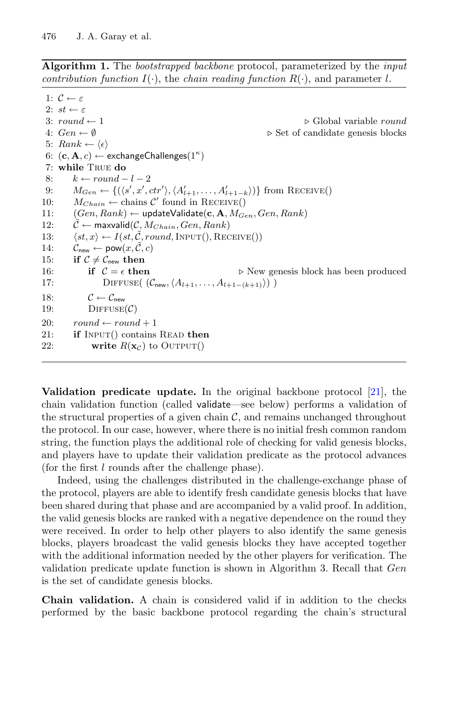**Algorithm 1.** The *bootstrapped backbone* protocol, parameterized by the *input contribution function*  $I(\cdot)$ , the *chain reading function*  $R(\cdot)$ , and parameter l.

```
1: \mathcal{C} \leftarrow \varepsilon2: st \leftarrow \varepsilon<br>3: round \leftarrow 13: round \leftarrow 1<br>
4: Gen \leftarrow \emptyset<br>
4: Gen \leftarrow \emptyset<br>
58t of candidate genesis blocks
                                                                                                               4: Gen ← ∅  Set of candidate genesis blocks
 5: Rank \leftarrow \langle \epsilon \rangle6: (c, A, c) \leftarrow exchangeChallenges(1^{\kappa})7: while True do
 8: k \leftarrow round - l - 2<br>9: M_{Gen} \leftarrow \{(\langle s', x', \rangle)\}9: M_{Gen} \leftarrow \{ (\langle s', x', ctr' \rangle, \langle A'_{l+1}, \dots, A'_{l+1-k} \rangle) \} from RECEIVE()
10: M_{Chain} \leftarrow chains C' found in RECEIVE()
11: (Gen, Rank) \leftarrow \text{updateValidate}(\mathbf{c}, \mathbf{A}, M_{Gen}, Gen, Rank)<br>12: \tilde{C} \leftarrow \text{maxvalid}(\mathcal{C}, M_{Chain}, Gen, Rank)12: \mathcal{C} \leftarrow \text{maxvalid}(\mathcal{C}, M_{Chain}, Gen, Rank)<br>13: \langle st, x \rangle \leftarrow I(st, \tilde{\mathcal{C}}, round, InputT(.), REC
13: \langle st, x \rangle \leftarrow I(st, \tilde{C}, round, \text{INPUT}(), \text{RECEIVE}()<br>14: C_{\text{new}} \leftarrow \text{pow}(x, \tilde{C}, c)14: \mathcal{C}_{\text{new}} \leftarrow \text{pow}(x, \mathcal{C}, c)<br>15: if \mathcal{C} \neq \mathcal{C}_{\text{new}} then
15: if C \neq C_{\text{new}} then<br>16: if C = \epsilon then
16: if C = \epsilon then \triangleright New genesis block has been produced 17: DIFFUSE((C_{\text{new}}, \langle A_{l+1}, \ldots, A_{l+1-(k+1)} \rangle))
17: DIFFUSE( (C_{new}, \langle A_{l+1},...,A_{l+1-(k+1)} \rangle))<br>18: C \leftarrow C_{new}18: C \leftarrow C_{\text{new}}<br>19: DIFFUSE
                       \text{DIFFUSE}(\mathcal{C})20: round \leftarrow round + 1<br>21: if INPUT() contains
               21: if Input() contains Read then
22: write R(\mathbf{x}_c) to OUTPUT()
```
**Validation predicate update.** In the original backbone protocol [\[21\]](#page-29-0), the chain validation function (called validate—see below) performs a validation of the structural properties of a given chain  $\mathcal{C}$ , and remains unchanged throughout the protocol. In our case, however, where there is no initial fresh common random string, the function plays the additional role of checking for valid genesis blocks, and players have to update their validation predicate as the protocol advances (for the first l rounds after the challenge phase).

Indeed, using the challenges distributed in the challenge-exchange phase of the protocol, players are able to identify fresh candidate genesis blocks that have been shared during that phase and are accompanied by a valid proof. In addition, the valid genesis blocks are ranked with a negative dependence on the round they were received. In order to help other players to also identify the same genesis blocks, players broadcast the valid genesis blocks they have accepted together with the additional information needed by the other players for verification. The validation predicate update function is shown in Algorithm 3. Recall that Gen is the set of candidate genesis blocks.

**Chain validation.** A chain is considered valid if in addition to the checks performed by the basic backbone protocol regarding the chain's structural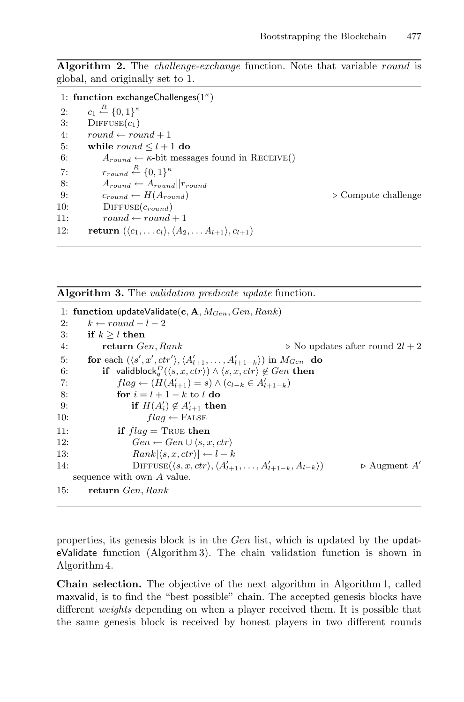**Algorithm 2.** The *challenge-exchange* function. Note that variable round is global, and originally set to 1.

```
1: function exchangeChallenges(1<sup>κ</sup>)
2: c_1 \stackrel{R}{\leftarrow} \{0,1\}^{\kappa}
```

```
3: DIFFUSE(c_1)<br>4: round \leftarrow r \omega
```

```
4: round \leftarrow round + 1<br>5: while round < l + 1
```

```
5: while round \leq l + 1 do<br>6: A_{round} \leftarrow \kappa-bit mess.
6: A_{round} \leftarrow \kappa-bit messages found in RECEIVE()<br>7: r_{round} \leftarrow \{0,1\}^{\kappa}
```

```
7: r_{round} \stackrel{R}{\leftarrow} \{0,1\}^{\kappa}
```

```
8: A_{round} \leftarrow A_{round} || r_{round}<br>9: c_{round} \leftarrow H(A_{round})
```

```
9: c_{round} \leftarrow H(A_{round}) \triangleright Compute challenge
         DIFFUSE(c_{round})
```

```
11: round \leftarrow round + 1<br>12: return (\langle c_1, \ldots, c_l \rangle, \langle A_2 \rangle)return (\langle c_1, \ldots c_l \rangle, \langle A_2, \ldots A_{l+1} \rangle, c_{l+1})
```
**Algorithm 3.** The *validation predicate update* function.

```
1: function updateValidate(\mathbf{c}, \mathbf{A}, M_{Gen}, Gen, Rank)2: k \leftarrow round - l - 2<br>3: if k > l then
 3: if k \geq l then<br>4: return Gen, Rank
                                                                                 \triangleright No updates after round 2l + 25: for each (\langle s', x', ctr' \rangle, \langle A'_{l+1}, \ldots, A'_{l+1-k} \rangle) in M_{Gen} do
 6: if validblock_{q}^{D}(\langle s, x, ctr \rangle) \wedge \langle s, x, ctr \rangle \notin Gen then
 7: flag \leftarrow (H(A'_{l+1}) = s) \wedge (c_{l-k} \in A'_{l+1-k})8: for i = l + 1 - k to l do<br>9: if H(A_i') \notin A_{i+1}' the
 9: if H(A_i') \not\in A_{i+1}' then
10: flag \leftarrow FALSE11: if flag = \text{TRUE} then
12: Gen \leftarrow Gen \cup \langle s, x, ctr \rangle<br>13: Rank(\langle s, x, ctr \rangle) \leftarrow l - l13: Rank[\langle s, x, ctr \rangle] \leftarrow l - k<br>14: DIFFUSE(\langle s, x, ctr \rangle, \langle A'_{l+1} \rangle14: DIFFUSE(\langle s, x, \text{ctr}\rangle, \langle A'_{l+1}, \dots, A'_{l+1-k}, A_{l-k}\rangle) \triangleright Augment A'
                                                                                                            \triangleright Augment A'
     sequence with own A value.
15: return Gen, Rank
```
properties, its genesis block is in the Gen list, which is updated by the updateValidate function (Algorithm 3). The chain validation function is shown in Algorithm 4.

**Chain selection.** The objective of the next algorithm in Algorithm 1, called maxvalid, is to find the "best possible" chain. The accepted genesis blocks have different *weights* depending on when a player received them. It is possible that the same genesis block is received by honest players in two different rounds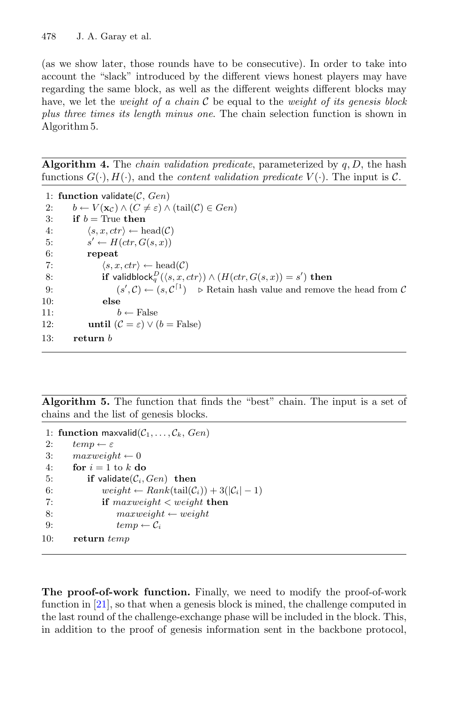(as we show later, those rounds have to be consecutive). In order to take into account the "slack" introduced by the different views honest players may have regarding the same block, as well as the different weights different blocks may have, we let the *weight of a chain* C be equal to the *weight of its genesis block plus three times its length minus one*. The chain selection function is shown in Algorithm 5.

**Algorithm 4.** The *chain validation predicate*, parameterized by q,D, the hash functions  $G(\cdot)$ ,  $H(\cdot)$ , and the *content validation predicate*  $V(\cdot)$ . The input is  $\mathcal{C}$ .

```
1: function validate(C, Gen)<br>2: b \leftarrow V(\mathbf{x}_c) \land (C \neq \varepsilon) \land2: b \leftarrow V(\mathbf{x}_c) \land (C \neq \varepsilon) \land (tail(\mathcal{C}) \in Gen)<br>3: if b = \text{True} then
              \mathbf{if} b = \text{True} then
 4: \langle s, x, \text{ctr} \rangle \leftarrow \text{head}(\mathcal{C})<br>5: s' \leftarrow H(\text{ctr}, G(s, x))5: \qquad s' \leftarrow H(ctr, G(s, x))6: repeat
 7: \langle s, x, ctr \rangle \leftarrow \text{head}(\mathcal{C})<br>8: if validblock_{\alpha}^{D}(\langle s, x, c \rangle)8: if validblock_{q}^{D}(\langle s, x, \text{ctr}\rangle) \wedge (H(\text{ctr}, G(s, x)) = s') then
  9: (s', \mathcal{C}) \leftarrow (s, \mathcal{C}^{\perp 1}) \Rightarrow Retain hash value and remove the head from \mathcal{C}10: else
11: b \leftarrow False<br>12: until (C = \varepsilon) \vee Cuntil (C = \varepsilon) \vee (b = \text{False})13: return b
```
**Algorithm 5.** The function that finds the "best" chain. The input is a set of chains and the list of genesis blocks.

```
1: function maxvalid(C_1, ..., C_k, Gen)<br>2: temp \leftarrow \varepsilon2: temp \leftarrow \varepsilon<br>3: maxwell3: maxweight \leftarrow 0<br>4: for i = 1 to k d
            for i = 1 to k do
 5: if validate(C_i, Gen) then<br>6: weight \leftarrow Rank(\text{tail}(\mathcal{C}))6: weight ← Rank(tail(\mathcal{C}_i)) + 3(|\mathcal{C}_i| - 1)<br>7: if maxweight < weight then
                       if maxweight < weight then
 8: maxweight \leftarrow weight<br>9: temp \leftarrow C_itemp \leftarrow C_i10: return temp
```
**The proof-of-work function.** Finally, we need to modify the proof-of-work function in [\[21](#page-29-0)], so that when a genesis block is mined, the challenge computed in the last round of the challenge-exchange phase will be included in the block. This, in addition to the proof of genesis information sent in the backbone protocol,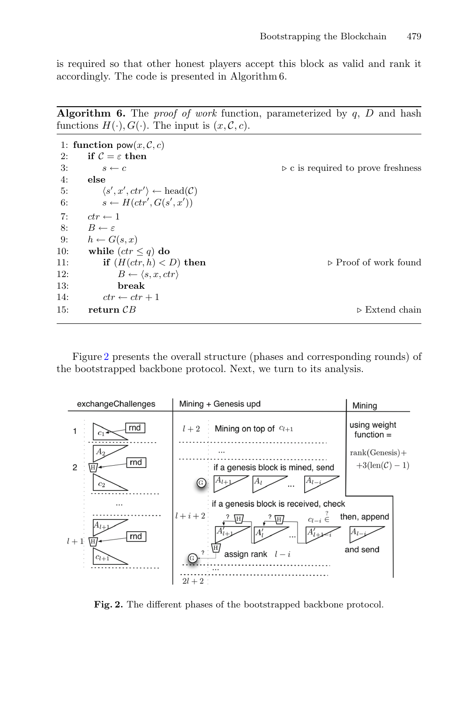is required so that other honest players accept this block as valid and rank it accordingly. The code is presented in Algorithm 6.

**Algorithm 6.** The *proof of work* function, parameterized by q, D and hash functions  $H(\cdot), G(\cdot)$ . The input is  $(x, \mathcal{C}, c)$ .

|     | 1: function $pow(x, \mathcal{C}, c)$                               |                                                   |
|-----|--------------------------------------------------------------------|---------------------------------------------------|
| 2:  | if $\mathcal{C} = \varepsilon$ then                                |                                                   |
| 3:  | $s \leftarrow c$                                                   | $\triangleright$ c is required to prove freshness |
| 4:  | else                                                               |                                                   |
| 5:  | $\langle s', x', ctr' \rangle \leftarrow \text{head}(\mathcal{C})$ |                                                   |
| 6:  | $s \leftarrow H(ctr', G(s', x'))$                                  |                                                   |
| 7:  | $ctr \leftarrow 1$                                                 |                                                   |
| 8:  | $B \leftarrow \varepsilon$                                         |                                                   |
| 9:  | $h \leftarrow G(s,x)$                                              |                                                   |
| 10: | while $(ctr \leq q)$ do                                            |                                                   |
| 11: | if $(H(ctr, h) < D)$ then                                          | $\triangleright$ Proof of work found              |
| 12: | $B \leftarrow \langle s, x, ctr \rangle$                           |                                                   |
| 13: | break                                                              |                                                   |
| 14: | $ctr \leftarrow ctr + 1$                                           |                                                   |
| 15: | return $CB$                                                        | $\triangleright$ Extend chain                     |
|     |                                                                    |                                                   |

Figure [2](#page-14-1) presents the overall structure (phases and corresponding rounds) of the bootstrapped backbone protocol. Next, we turn to its analysis.



<span id="page-14-1"></span><span id="page-14-0"></span>**Fig. 2.** The different phases of the bootstrapped backbone protocol.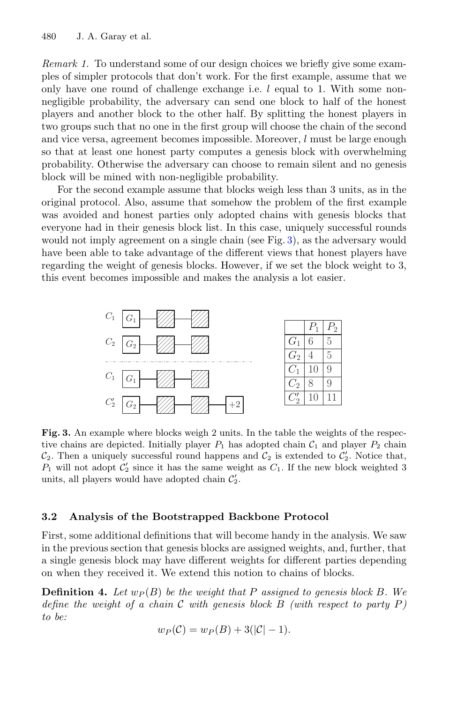*Remark 1.* To understand some of our design choices we briefly give some examples of simpler protocols that don't work. For the first example, assume that we only have one round of challenge exchange i.e.  $l$  equal to 1. With some nonnegligible probability, the adversary can send one block to half of the honest players and another block to the other half. By splitting the honest players in two groups such that no one in the first group will choose the chain of the second and vice versa, agreement becomes impossible. Moreover,  $l$  must be large enough so that at least one honest party computes a genesis block with overwhelming probability. Otherwise the adversary can choose to remain silent and no genesis block will be mined with non-negligible probability.

For the second example assume that blocks weigh less than 3 units, as in the original protocol. Also, assume that somehow the problem of the first example was avoided and honest parties only adopted chains with genesis blocks that everyone had in their genesis block list. In this case, uniquely successful rounds would not imply agreement on a single chain (see Fig. [3\)](#page-15-0), as the adversary would have been able to take advantage of the different views that honest players have regarding the weight of genesis blocks. However, if we set the block weight to 3, this event becomes impossible and makes the analysis a lot easier.

<span id="page-15-0"></span>

**Fig. 3.** An example where blocks weigh 2 units. In the table the weights of the respective chains are depicted. Initially player  $P_1$  has adopted chain  $C_1$  and player  $P_2$  chain  $\mathcal{C}_2$ . Then a uniquely successful round happens and  $\mathcal{C}_2$  is extended to  $\mathcal{C}'_2$ . Notice that,  $P_1$  will not adopt  $C_2$  since it has the same weight as  $C_1$ . If the new block weighted 3 units, all players would have adopted chain  $\mathcal{C}'_2$ .

#### **3.2 Analysis of the Bootstrapped Backbone Protocol**

First, some additional definitions that will become handy in the analysis. We saw in the previous section that genesis blocks are assigned weights, and, further, that a single genesis block may have different weights for different parties depending on when they received it. We extend this notion to chains of blocks.

**Definition 4.** Let  $w_P(B)$  be the weight that P assigned to genesis block B. We *define the weight of a chain* <sup>C</sup> *with genesis block* <sup>B</sup> *(with respect to party* <sup>P</sup>*) to be:*

$$
w_P(\mathcal{C})=w_P(B)+3(|\mathcal{C}|-1).
$$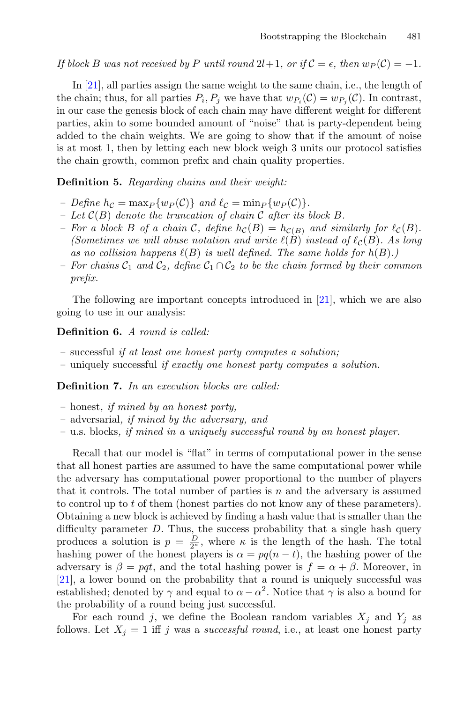*If block B was not received by P until round*  $2l+1$ *, or if*  $C = \epsilon$ *, then*  $w_P(C) = -1$ *.* 

In [\[21\]](#page-29-0), all parties assign the same weight to the same chain, i.e., the length of the chain; thus, for all parties  $P_i, P_j$  we have that  $w_{P_i}(\mathcal{C}) = w_{P_i}(\mathcal{C})$ . In contrast, in our case the genesis block of each chain may have different weight for different parties, akin to some bounded amount of "noise" that is party-dependent being added to the chain weights. We are going to show that if the amount of noise is at most 1, then by letting each new block weigh 3 units our protocol satisfies the chain growth, common prefix and chain quality properties.

#### **Definition 5.** *Regarding chains and their weight:*

- *Define*  $h_{\mathcal{C}} = \max_{P} \{ w_P(\mathcal{C}) \}$  *and*  $\ell_{\mathcal{C}} = \min_{P} \{ w_P(\mathcal{C}) \}.$
- *Let* <sup>C</sup>(B) *denote the truncation of chain* <sup>C</sup> *after its block* <sup>B</sup>*.*
- *For a block* B of a chain C, define  $h_{\mathcal{C}}(B) = h_{\mathcal{C}(B)}$  and similarly for  $\ell_{\mathcal{C}}(B)$ . *(Sometimes we will abuse notation and write*  $\ell(B)$  *instead of*  $\ell_{\mathcal{C}}(B)$ *. As long* as no collision happens  $\ell(B)$  is well defined. The same holds for  $h(B)$ .)
- *For chains*  $C_1$  *and*  $C_2$ *, define*  $C_1 \cap C_2$  *to be the chain formed by their common prefix.*

The following are important concepts introduced in [\[21](#page-29-0)], which we are also going to use in our analysis:

#### **Definition 6.** *A round is called:*

- *–* successful *if at least one honest party computes a solution;*
- *–* uniquely successful *if exactly one honest party computes a solution.*

**Definition 7.** *In an execution blocks are called:*

- *–* honest*, if mined by an honest party,*
- *–* adversarial*, if mined by the adversary, and*
- *–* u.s. blocks*, if mined in a uniquely successful round by an honest player.*

Recall that our model is "flat" in terms of computational power in the sense that all honest parties are assumed to have the same computational power while the adversary has computational power proportional to the number of players that it controls. The total number of parties is  $n$  and the adversary is assumed to control up to t of them (honest parties do not know any of these parameters). Obtaining a new block is achieved by finding a hash value that is smaller than the difficulty parameter  $D$ . Thus, the success probability that a single hash query produces a solution is  $p = \frac{D}{2k}$ , where  $\kappa$  is the length of the hash. The total hashing power of the honest players is  $\alpha = pq(n-t)$ , the hashing power of the adversary is  $\beta = pqt$ , and the total hashing power is  $f = \alpha + \beta$ . Moreover, in [\[21](#page-29-0)], a lower bound on the probability that a round is uniquely successful was established; denoted by  $\gamma$  and equal to  $\alpha - \alpha^2$ . Notice that  $\gamma$  is also a bound for the probability of a round being just successful.

For each round j, we define the Boolean random variables  $X_j$  and  $Y_j$  as follows. Let  $X_j = 1$  iff j was a *successful round*, i.e., at least one honest party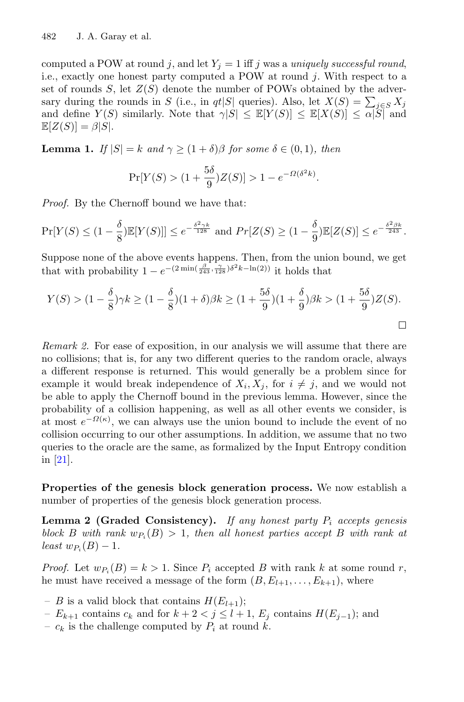computed a POW at round j, and let  $Y_i = 1$  iff j was a *uniquely successful round*, i.e., exactly one honest party computed a POW at round  $i$ . With respect to a set of rounds  $S$ , let  $Z(S)$  denote the number of POWs obtained by the adversary during the rounds in S (i.e., in qt|S| queries). Also, let  $X(S) = \sum_{j \in S} X_j$ and define  $Y(S)$  similarly. Note that  $\gamma|S| \leq \mathbb{E}[Y(S)] \leq \mathbb{E}[X(S)] \leq \alpha|S|$  and  $\mathbb{E}[Z(S)] = \beta|S|.$ 

**Lemma 1.** *If*  $|S| = k$  *and*  $\gamma \geq (1 + \delta)\beta$  *for some*  $\delta \in (0, 1)$ *, then* 

$$
\Pr[Y(S) > (1 + \frac{5\delta}{9})Z(S)] > 1 - e^{-\Omega(\delta^2 k)}.
$$

*Proof.* By the Chernoff bound we have that:

$$
\Pr[Y(S) \le (1 - \frac{\delta}{8}) \mathbb{E}[Y(S)]] \le e^{-\frac{\delta^2 \gamma k}{128}} \text{ and } \Pr[Z(S) \ge (1 - \frac{\delta}{9}) \mathbb{E}[Z(S)] \le e^{-\frac{\delta^2 \beta k}{243}}.
$$

Suppose none of the above events happens. Then, from the union bound, we get that with probability  $1 - e^{-(2 \min(\frac{\beta}{243}, \frac{\gamma}{128})\delta^2 k - \ln(2))}$  it holds that

$$
Y(S) > (1 - \frac{\delta}{8})\gamma k \ge (1 - \frac{\delta}{8})(1 + \delta)\beta k \ge (1 + \frac{5\delta}{9})(1 + \frac{\delta}{9})\beta k > (1 + \frac{5\delta}{9})Z(S).
$$

*Remark 2.* For ease of exposition, in our analysis we will assume that there are no collisions; that is, for any two different queries to the random oracle, always a different response is returned. This would generally be a problem since for example it would break independence of  $X_i, X_j$ , for  $i \neq j$ , and we would not be able to apply the Chernoff bound in the previous lemma. However, since the probability of a collision happening, as well as all other events we consider, is at most  $e^{-\Omega(\kappa)}$ , we can always use the union bound to include the event of no collision occurring to our other assumptions. In addition, we assume that no two queries to the oracle are the same, as formalized by the Input Entropy condition in [\[21\]](#page-29-0).

**Properties of the genesis block generation process.** We now establish a number of properties of the genesis block generation process.

**Lemma 2 (Graded Consistency).** *If any honest party* P<sup>i</sup> *accepts genesis block* B with rank  $w_{P_i}(B) > 1$ , then all honest parties accept B with rank at  $least\ w_{P_i}(B)-1.$ 

*Proof.* Let  $w_{P_i}(B) = k > 1$ . Since  $P_i$  accepted B with rank k at some round r, he must have received a message of the form  $(B, E_{l+1}, \ldots, E_{k+1})$ , where

- B is a valid block that contains  $H(E_{l+1});$
- $E_{k+1}$  contains  $c_k$  and for  $k+2 < j \leq l+1$ ,  $E_j$  contains  $H(E_{j-1})$ ; and
- $c_k$  is the challenge computed by  $P_i$  at round k.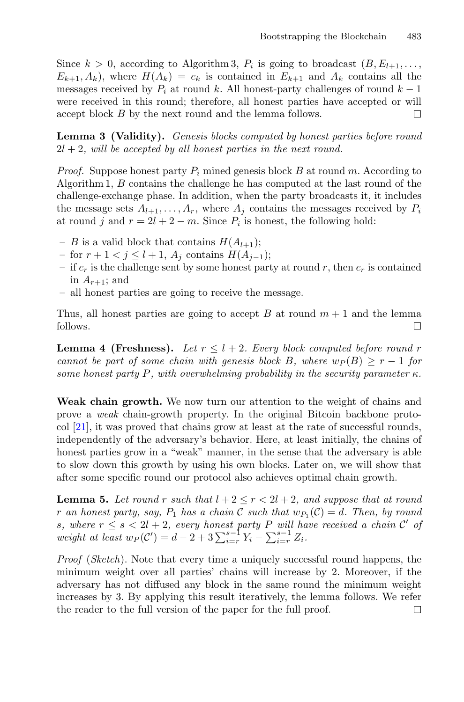Since  $k > 0$ , according to Algorithm 3,  $P_i$  is going to broadcast  $(B, E_{l+1}, \ldots,$  $E_{k+1}, A_k$ , where  $H(A_k) = c_k$  is contained in  $E_{k+1}$  and  $A_k$  contains all the messages received by  $P_i$  at round k. All honest-party challenges of round  $k-1$ were received in this round; therefore, all honest parties have accepted or will accept block B by the next round and the lemma follows.  $\Box$ 

**Lemma 3 (Validity).** *Genesis blocks computed by honest parties before round*  $2l + 2$ , will be accepted by all honest parties in the next round.

*Proof.* Suppose honest party  $P_i$  mined genesis block B at round m. According to Algorithm 1, B contains the challenge he has computed at the last round of the challenge-exchange phase. In addition, when the party broadcasts it, it includes the message sets  $A_{l+1},\ldots,A_r$ , where  $A_i$  contains the messages received by  $P_i$ at round j and  $r = 2l + 2 - m$ . Since  $P_i$  is honest, the following hold:

- B is a valid block that contains  $H(A_{l+1});$
- for  $r + 1 < j \leq l + 1$ ,  $A_j$  contains  $H(A_{j-1});$
- if  $c_r$  is the challenge sent by some honest party at round r, then  $c_r$  is contained in  $A_{r+1}$ ; and
- all honest parties are going to receive the message.

Thus, all honest parties are going to accept B at round  $m + 1$  and the lemma follows.  $\Box$ 

**Lemma 4 (Freshness).** Let  $r \leq l + 2$ . Every block computed before round r *cannot be part of some chain with genesis block* B, where  $w_P(B) \ge r - 1$  *for some honest party* P, with overwhelming probability in the security parameter  $\kappa$ .

**Weak chain growth.** We now turn our attention to the weight of chains and prove a *weak* chain-growth property. In the original Bitcoin backbone protocol [\[21\]](#page-29-0), it was proved that chains grow at least at the rate of successful rounds, independently of the adversary's behavior. Here, at least initially, the chains of honest parties grow in a "weak" manner, in the sense that the adversary is able to slow down this growth by using his own blocks. Later on, we will show that after some specific round our protocol also achieves optimal chain growth.

**Lemma 5.** Let round r such that  $l + 2 \leq r < 2l + 2$ , and suppose that at round r an honest party, say,  $P_1$  has a chain C such that  $w_{P_1}(\mathcal{C}) = d$ . Then, by round s, where  $r \leq s < 2l + 2$ , every honest party P will have received a chain C' of *weight at least*  $w_P(C') = d - 2 + 3 \sum_{i=r}^{s-1} Y_i - \sum_{i=r}^{s-1} Z_i$ .

*Proof* (*Sketch*). Note that every time a uniquely successful round happens, the minimum weight over all parties' chains will increase by 2. Moreover, if the adversary has not diffused any block in the same round the minimum weight increases by 3. By applying this result iteratively, the lemma follows. We refer the reader to the full version of the paper for the full proof. $\Box$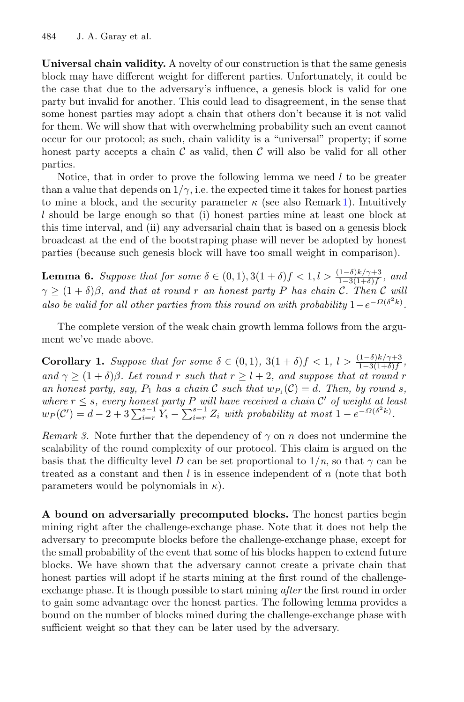**Universal chain validity.** A novelty of our construction is that the same genesis block may have different weight for different parties. Unfortunately, it could be the case that due to the adversary's influence, a genesis block is valid for one party but invalid for another. This could lead to disagreement, in the sense that some honest parties may adopt a chain that others don't because it is not valid for them. We will show that with overwhelming probability such an event cannot occur for our protocol; as such, chain validity is a "universal" property; if some honest party accepts a chain  $\mathcal C$  as valid, then  $\mathcal C$  will also be valid for all other parties.

Notice, that in order to prove the following lemma we need  $l$  to be greater than a value that depends on  $1/\gamma$ , i.e. the expected time it takes for honest parties to mine a block, and the security parameter  $\kappa$  (see also Remark [1\)](#page-14-0). Intuitively l should be large enough so that (i) honest parties mine at least one block at this time interval, and (ii) any adversarial chain that is based on a genesis block broadcast at the end of the bootstraping phase will never be adopted by honest parties (because such genesis block will have too small weight in comparison).

**Lemma 6.** *Suppose that for some*  $\delta \in (0, 1), 3(1 + \delta)f < 1, l > \frac{(1 - \delta)k/\gamma + 3}{1 - 3(1 + \delta)f}$ , and  $\gamma \geq (1+\delta)\beta$ , and that at round r an honest party P has chain C. Then C will *also be valid for all other parties from this round on with probability*  $1-e^{-\Omega(\delta^2 k)}$ *.* 

The complete version of the weak chain growth lemma follows from the argument we've made above.

**Corollary 1.** *Suppose that for some*  $\delta \in (0,1)$ ,  $3(1+\delta)f < 1$ ,  $l > \frac{(1-\delta)k/\gamma+3}{1-3(1+\delta)f}$ , *and*  $\gamma \geq (1+\delta)\beta$ *. Let round r such that*  $r \geq l+2$ *, and suppose that at round r* an honest party, say,  $P_1$  has a chain C such that  $w_{P_1}(\mathcal{C}) = d$ . Then, by round s, *where*  $r \leq s$ , every honest party P will have received a chain  $\mathcal{C}'$  of weight at least  $w_P(\mathcal{C}') = d - 2 + 3 \sum_{i=r}^{s-1} Y_i - \sum_{i=r}^{s-1} Z_i$  *with probability at most*  $1 - e^{-\Omega(\delta^2 k)}$ .

<span id="page-19-0"></span>*Remark 3.* Note further that the dependency of  $\gamma$  on n does not undermine the scalability of the round complexity of our protocol. This claim is argued on the basis that the difficulty level D can be set proportional to  $1/n$ , so that  $\gamma$  can be treated as a constant and then  $l$  is in essence independent of  $n$  (note that both parameters would be polynomials in  $\kappa$ ).

<span id="page-19-1"></span>**A bound on adversarially precomputed blocks.** The honest parties begin mining right after the challenge-exchange phase. Note that it does not help the adversary to precompute blocks before the challenge-exchange phase, except for the small probability of the event that some of his blocks happen to extend future blocks. We have shown that the adversary cannot create a private chain that honest parties will adopt if he starts mining at the first round of the challengeexchange phase. It is though possible to start mining *after* the first round in order to gain some advantage over the honest parties. The following lemma provides a bound on the number of blocks mined during the challenge-exchange phase with sufficient weight so that they can be later used by the adversary.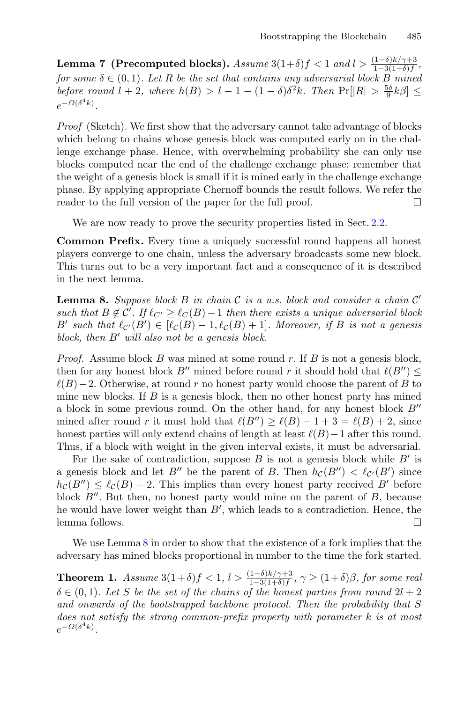**Lemma 7** (Precomputed blocks). *Assume*  $3(1+\delta)f < 1$  *and*  $l > \frac{(1-\delta)k/\gamma+3}{1-3(1+\delta)f}$ , *for some*  $\delta \in (0,1)$ *. Let* R *be the set that contains any adversarial block* B *mined before round*  $l + 2$ *, where*  $h(B) > l - 1 - (1 - \delta)\delta^2 k$ *. Then*  $\Pr[|R| > \frac{5\delta}{9}k\beta] \le$  $e^{-\Omega(\delta^4 k)}$ .

*Proof* (Sketch). We first show that the adversary cannot take advantage of blocks which belong to chains whose genesis block was computed early on in the challenge exchange phase. Hence, with overwhelming probability she can only use blocks computed near the end of the challenge exchange phase; remember that the weight of a genesis block is small if it is mined early in the challenge exchange phase. By applying appropriate Chernoff bounds the result follows. We refer the reader to the full version of the paper for the full proof.  $\Box$ 

We are now ready to prove the security properties listed in Sect. [2.2.](#page-8-1)

**Common Prefix.** Every time a uniquely successful round happens all honest players converge to one chain, unless the adversary broadcasts some new block. This turns out to be a very important fact and a consequence of it is described in the next lemma.

<span id="page-20-0"></span>**Lemma 8.** *Suppose block* <sup>B</sup> *in chain* <sup>C</sup> *is a u.s. block and consider a chain* <sup>C</sup> *such that*  $B \notin \mathcal{C}'$ *. If*  $\ell_{C'} \geq \ell_{C}(B) - 1$  *then there exists a unique adversarial block*  $B'$  such that  $\ell_{\mathcal{C}'}(B') \in [\ell_{\mathcal{C}}(B) - 1, \ell_{\mathcal{C}}(B) + 1]$ *. Moreover, if* B is not a genesis *block, then*  $B'$  *will also not be a genesis block.* 

*Proof.* Assume block  $B$  was mined at some round  $r$ . If  $B$  is not a genesis block, then for any honest block B" mined before round r it should hold that  $\ell(B'')$  <  $\ell(B)-2$ . Otherwise, at round r no honest party would choose the parent of B to mine new blocks. If  $B$  is a genesis block, then no other honest party has mined a block in some previous round. On the other hand, for any honest block B mined after round r it must hold that  $\ell(B'') \geq \ell(B) - 1 + 3 = \ell(B) + 2$ , since honest parties will only extend chains of length at least  $\ell(B)-1$  after this round. Thus, if a block with weight in the given interval exists, it must be adversarial.

For the sake of contradiction, suppose  $B$  is not a genesis block while  $B'$  is a genesis block and let B'' be the parent of B. Then  $h_{\mathcal{C}}(B'') < \ell_{\mathcal{C}'}(B')$  since  $h_{\mathcal{C}}(B'') \leq \ell_{\mathcal{C}}(B) - 2$ . This implies than every honest party received B' before block  $B''$ . But then, no honest party would mine on the parent of  $B$ , because he would have lower weight than  $B'$ , which leads to a contradiction. Hence, the lemma follows.  $\Box$ 

<span id="page-20-1"></span>We use Lemma [8](#page-20-0) in order to show that the existence of a fork implies that the adversary has mined blocks proportional in number to the time the fork started.

**Theorem 1.** *Assume*  $3(1+\delta)f < 1, l > \frac{(1-\delta)k/\gamma+3}{1-3(1+\delta)f}, \gamma \ge (1+\delta)\beta$ *, for some real*  $\delta \in (0,1)$ *. Let* S *be the set of the chains of the honest parties from round*  $2l + 2$ *and onwards of the bootstrapped backbone protocol. Then the probability that* S *does not satisfy the strong common-prefix property with parameter* k *is at most*  $e^{-\Omega(\delta^4 k)}$ .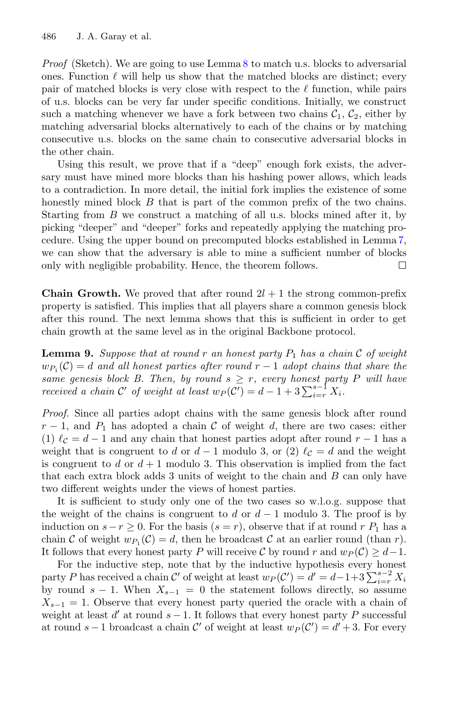*Proof* (Sketch). We are going to use Lemma [8](#page-20-0) to match u.s. blocks to adversarial ones. Function  $\ell$  will help us show that the matched blocks are distinct; every pair of matched blocks is very close with respect to the  $\ell$  function, while pairs of u.s. blocks can be very far under specific conditions. Initially, we construct such a matching whenever we have a fork between two chains  $C_1$ ,  $C_2$ , either by matching adversarial blocks alternatively to each of the chains or by matching consecutive u.s. blocks on the same chain to consecutive adversarial blocks in the other chain.

Using this result, we prove that if a "deep" enough fork exists, the adversary must have mined more blocks than his hashing power allows, which leads to a contradiction. In more detail, the initial fork implies the existence of some honestly mined block B that is part of the common prefix of the two chains. Starting from B we construct a matching of all u.s. blocks mined after it, by picking "deeper" and "deeper" forks and repeatedly applying the matching procedure. Using the upper bound on precomputed blocks established in Lemma [7,](#page-19-1) we can show that the adversary is able to mine a sufficient number of blocks only with negligible probability. Hence, the theorem follows.  $\Box$ 

**Chain Growth.** We proved that after round  $2l + 1$  the strong common-prefix property is satisfied. This implies that all players share a common genesis block after this round. The next lemma shows that this is sufficient in order to get chain growth at the same level as in the original Backbone protocol.

<span id="page-21-0"></span>**Lemma 9.** *Suppose that at round* <sup>r</sup> *an honest party* <sup>P</sup><sup>1</sup> *has a chain* <sup>C</sup> *of weight*  $w_{P_1}(\mathcal{C}) = d$  *and all honest parties after round*  $r - 1$  *adopt chains that share the same genesis block B. Then, by round*  $s \geq r$ *, every honest party* P *will have received a chain*  $C'$  *of weight at least*  $w_P(C') = d - 1 + 3\sum_{i=r}^{s-1} X_i$ *.* 

*Proof.* Since all parties adopt chains with the same genesis block after round  $r-1$ , and  $P_1$  has adopted a chain C of weight d, there are two cases: either (1)  $\ell_c = d - 1$  and any chain that honest parties adopt after round  $r - 1$  has a weight that is congruent to d or  $d-1$  modulo 3, or (2)  $\ell_c = d$  and the weight is congruent to d or  $d + 1$  modulo 3. This observation is implied from the fact that each extra block adds 3 units of weight to the chain and  $B$  can only have two different weights under the views of honest parties.

It is sufficient to study only one of the two cases so w.l.o.g. suppose that the weight of the chains is congruent to d or  $d-1$  modulo 3. The proof is by induction on  $s-r \geq 0$ . For the basis  $(s=r)$ , observe that if at round r  $P_1$  has a chain C of weight  $w_{P_1}(\mathcal{C}) = d$ , then he broadcast C at an earlier round (than r). It follows that every honest party P will receive C by round r and  $w_P(\mathcal{C}) \geq d-1$ .

For the inductive step, note that by the inductive hypothesis every honest party P has received a chain  $\mathcal{C}'$  of weight at least  $w_P(\mathcal{C}') = d' = d-1+3\sum_{i=r}^{s-2} X_i$ by round  $s - 1$ . When  $X_{s-1} = 0$  the statement follows directly, so assume  $X_{s-1} = 1$ . Observe that every honest party queried the oracle with a chain of weight at least d' at round  $s - 1$ . It follows that every honest party P successful at round  $s - 1$  broadcast a chain  $\mathcal{C}'$  of weight at least  $w_P(\mathcal{C}') = d' + 3$ . For every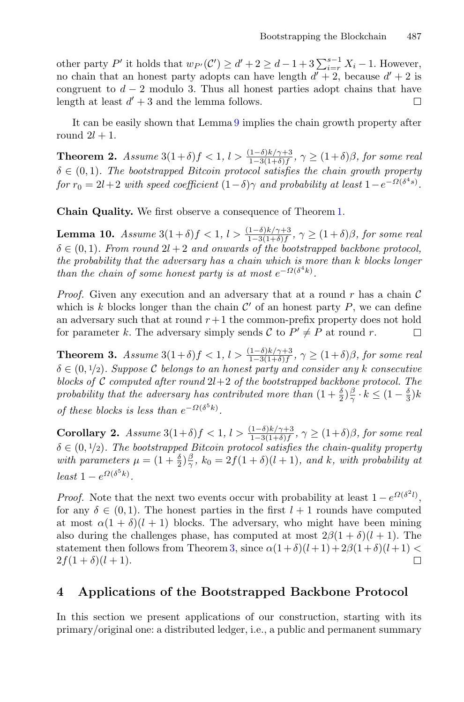other party P' it holds that  $w_{P'}(\mathcal{C}') \geq d' + 2 \geq d - 1 + 3 \sum_{i=r}^{s-1} X_i - 1$ . However, no chain that an honest party adopts can have length  $d' + 2$ , because  $d' + 2$  is congruent to  $d - 2$  modulo 3. Thus all honest parties adopt chains that have length at least  $d' + 3$  and the lemma follows. length at least  $d' + 3$  and the lemma follows.

It can be easily shown that Lemma [9](#page-21-0) implies the chain growth property after round  $2l + 1$ .

**Theorem 2.** *Assume*  $3(1+\delta)f < 1, l > \frac{(1-\delta)k/\gamma+3}{1-3(1+\delta)f}, \gamma \geq (1+\delta)\beta$ , for some real  $\delta \in (0,1)$ *. The bootstrapped Bitcoin protocol satisfies the chain growth property for*  $r_0 = 2l + 2$  *with speed coefficient*  $(1 - \delta)\gamma$  *and probability at least*  $1 - e^{-\Omega(\delta^4 s)}$ *.* 

**Chain Quality.** We first observe a consequence of Theorem [1.](#page-20-1)

**Lemma 10.** *Assume*  $3(1+\delta)f < 1, l > \frac{(1-\delta)k/\gamma+3}{1-3(1+\delta)f}, \gamma \ge (1+\delta)\beta$ , for some real  $\delta \in (0,1)$ *. From round*  $2l + 2$  *and onwards of the bootstrapped backbone protocol, the probability that the adversary has a chain which is more than* k *blocks longer than the chain of some honest party is at most*  $e^{-\Omega(\delta^4 k)}$ .

*Proof.* Given any execution and an adversary that at a round  $r$  has a chain  $\mathcal C$ which is k blocks longer than the chain  $\mathcal{C}'$  of an honest party P, we can define an adversary such that at round  $r+1$  the common-prefix property does not hold for parameter k. The adversary simply sends  $C$  to  $P' \neq P$  at round r.  $\Box$ 

<span id="page-22-1"></span>**Theorem 3.** *Assume*  $3(1+\delta)f < 1, l > \frac{(1-\delta)k/\gamma+3}{1-3(1+\delta)f}, \gamma \geq (1+\delta)\beta$ *, for some real*  $\delta \in (0, 1/2)$ *. Suppose* C belongs to an honest party and consider any k consecutive *blocks of* <sup>C</sup> *computed after round* <sup>2</sup>l+2 *of the bootstrapped backbone protocol. The probability that the adversary has contributed more than*  $(1 + \frac{\delta}{2})\frac{\beta}{\gamma} \cdot k \leq (1 - \frac{\delta}{3})k$ *of these blocks is less than*  $e^{-\Omega(\delta^5 k)}$ .

<span id="page-22-2"></span>**Corollary 2.** *Assume*  $3(1+\delta)f < 1, l > \frac{(1-\delta)k/\gamma+3}{1-3(1+\delta)f}, \gamma \geq (1+\delta)\beta$ , for some real  $\delta \in (0, 1/2)$ *. The bootstrapped Bitcoin protocol satisfies the chain-quality property* with parameters  $\mu = (1 + \frac{\delta}{2})\frac{\beta}{\gamma}$ ,  $k_0 = 2f(1 + \delta)(l + 1)$ , and k, with probability at  $least 1-e^{\Omega(\delta^5 k)}$ .

*Proof.* Note that the next two events occur with probability at least  $1 - e^{\Omega(\delta^2 l)}$ , for any  $\delta \in (0,1)$ . The honest parties in the first  $l+1$  rounds have computed at most  $\alpha(1+\delta)(l+1)$  blocks. The adversary, who might have been mining also during the challenges phase, has computed at most  $2\beta(1+\delta)(l+1)$ . The statement then follows from Theorem [3,](#page-22-1) since  $\alpha(1+\delta)(l+1) + 2\beta(1+\delta)(l+1)$  $2f(1+\delta)(l+1)$ .  $\Box$ 

## <span id="page-22-0"></span>**4 Applications of the Bootstrapped Backbone Protocol**

In this section we present applications of our construction, starting with its primary/original one: a distributed ledger, i.e., a public and permanent summary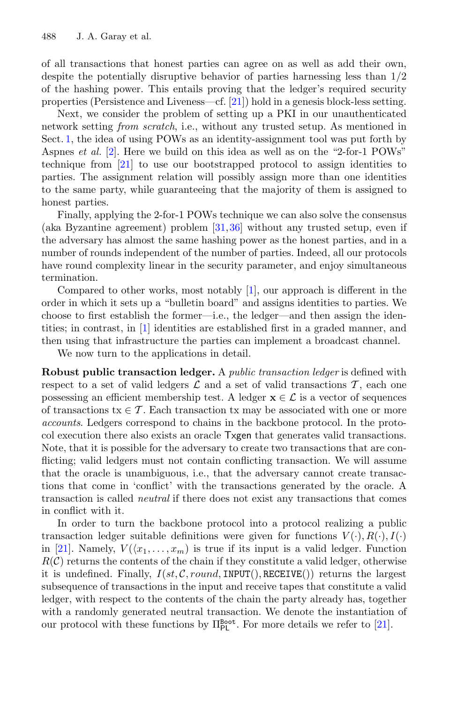of all transactions that honest parties can agree on as well as add their own, despite the potentially disruptive behavior of parties harnessing less than 1/2 of the hashing power. This entails proving that the ledger's required security properties (Persistence and Liveness—cf. [\[21](#page-29-0)]) hold in a genesis block-less setting.

Next, we consider the problem of setting up a PKI in our unauthenticated network setting *from scratch*, i.e., without any trusted setup. As mentioned in Sect. [1,](#page-0-0) the idea of using POWs as an identity-assignment tool was put forth by Aspnes *et al.* [\[2\]](#page-28-3). Here we build on this idea as well as on the "2-for-1 POWs" technique from [\[21\]](#page-29-0) to use our bootstrapped protocol to assign identities to parties. The assignment relation will possibly assign more than one identities to the same party, while guaranteeing that the majority of them is assigned to honest parties.

Finally, applying the 2-for-1 POWs technique we can also solve the consensus (aka Byzantine agreement) problem [\[31,](#page-29-3)[36](#page-30-2)] without any trusted setup, even if the adversary has almost the same hashing power as the honest parties, and in a number of rounds independent of the number of parties. Indeed, all our protocols have round complexity linear in the security parameter, and enjoy simultaneous termination.

Compared to other works, most notably [\[1\]](#page-28-2), our approach is different in the order in which it sets up a "bulletin board" and assigns identities to parties. We choose to first establish the former—i.e., the ledger—and then assign the identities; in contrast, in [\[1\]](#page-28-2) identities are established first in a graded manner, and then using that infrastructure the parties can implement a broadcast channel.

We now turn to the applications in detail.

**Robust public transaction ledger.** A *public transaction ledger* is defined with respect to a set of valid ledgers  $\mathcal L$  and a set of valid transactions  $\mathcal T$ , each one possessing an efficient membership test. A ledger  $\mathbf{x} \in \mathcal{L}$  is a vector of sequences of transactions  $tx \in \mathcal{T}$ . Each transaction tx may be associated with one or more *accounts*. Ledgers correspond to chains in the backbone protocol. In the protocol execution there also exists an oracle Txgen that generates valid transactions. Note, that it is possible for the adversary to create two transactions that are conflicting; valid ledgers must not contain conflicting transaction. We will assume that the oracle is unambiguous, i.e., that the adversary cannot create transactions that come in 'conflict' with the transactions generated by the oracle. A transaction is called *neutral* if there does not exist any transactions that comes in conflict with it.

In order to turn the backbone protocol into a protocol realizing a public transaction ledger suitable definitions were given for functions  $V(\cdot), R(\cdot), I(\cdot)$ in [\[21\]](#page-29-0). Namely,  $V(\langle x_1,\ldots,x_m\rangle)$  is true if its input is a valid ledger. Function  $R(\mathcal{C})$  returns the contents of the chain if they constitute a valid ledger, otherwise it is undefined. Finally,  $I(st, \mathcal{C}, round, INPUT(), RECEIVE())$  returns the largest subsequence of transactions in the input and receive tapes that constitute a valid ledger, with respect to the contents of the chain the party already has, together with a randomly generated neutral transaction. We denote the instantiation of our protocol with these functions by  $\Pi_{PL}^{\text{Boot}}$ . For more details we refer to [\[21](#page-29-0)].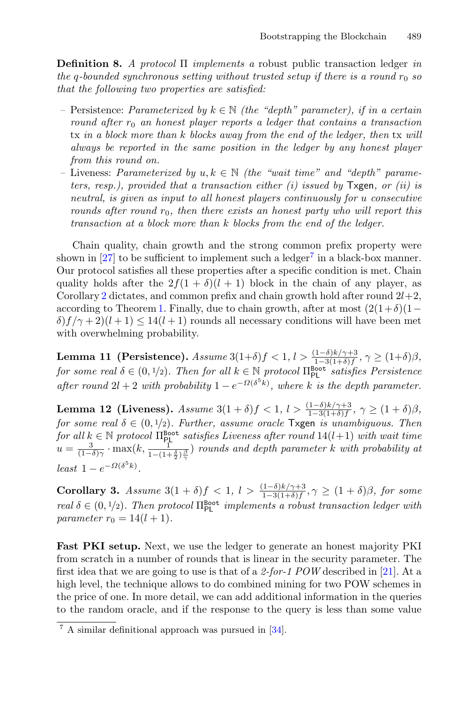**Definition 8.** *A protocol* Π *implements a* robust public transaction ledger *in the* q-bounded synchronous setting without trusted setup if there is a round  $r_0$  *so that the following two properties are satisfied:*

- *–* Persistence: *Parameterized by* <sup>k</sup> <sup>∈</sup> <sup>N</sup> *(the "depth" parameter), if in a certain round after*  $r_0$  *an honest player reports a ledger that contains a transaction* tx *in a block more than* k *blocks away from the end of the ledger, then* tx *will always be reported in the same position in the ledger by any honest player from this round on.*
- *–* Liveness: *Parameterized by*  $u, k \in \mathbb{N}$  *(the "wait time" and "depth" parameters, resp.), provided that a transaction either (i) issued by* Txgen*, or (ii) is neutral, is given as input to all honest players continuously for* u *consecutive rounds after round*  $r_0$ , then there exists an honest party who will report this *transaction at a block more than* k *blocks from the end of the ledger.*

Chain quality, chain growth and the strong common prefix property were shown in [\[27\]](#page-29-20) to be sufficient to implement such a ledger<sup>[7](#page-24-0)</sup> in a black-box manner. Our protocol satisfies all these properties after a specific condition is met. Chain quality holds after the  $2f(1 + \delta)(l + 1)$  block in the chain of any player, as Corollary [2](#page-22-2) dictates, and common prefix and chain growth hold after round  $2l+2$ , according to Theorem [1.](#page-20-1) Finally, due to chain growth, after at most  $(2(1+\delta)(1-\delta))$  $\delta f/\gamma + 2(l+1) \leq 14(l+1)$  rounds all necessary conditions will have been met with overwhelming probability.

**Lemma 11 (Persistence).** *Assume*  $3(1+\delta)f < 1, l > \frac{(1-\delta)k/\gamma+3}{1-3(1+\delta)f}, \gamma \ge (1+\delta)\beta,$ *for some real*  $\delta \in (0, 1/2)$ *. Then for all*  $k \in \mathbb{N}$  *protocol*  $\Pi_{\text{PL}}^{\text{Boot}}$  *satisfies Persistence*<br>*often mound*  $2l + 2$  with probability  $1 - e^{-\Omega(\delta^5 k)}$  where h is the double personator *after round*  $2l + 2$  *with probability*  $1 - e^{-\Omega(\delta^5 k)}$ , *where* k *is the depth parameter.* 

**Lemma 12 (Liveness).** *Assume*  $3(1+\delta)f < 1, l > \frac{(1-\delta)k/\gamma+3}{1-3(1+\delta)f}, \gamma \geq (1+\delta)\beta$ , *for some real*  $\delta \in (0, 1/2)$ *. Further, assume oracle* Txgen *is unambiguous. Then*  $for all k \in \mathbb{N}$  protocol  $\Pi_{\text{PL}}^{\text{Boot}}$  satisfies Liveness after round  $14(l+1)$  *with wait time*  $u = \frac{3}{(1-\delta)\gamma} \cdot \max(k, \frac{1}{1-(1+\frac{\delta}{2})\frac{\beta}{\gamma}})$  *rounds and depth parameter* k *with probability at*  $least\ 1-e^{-\Omega(\delta^5 k)}$ .

**Corollary 3.** *Assume*  $3(1 + \delta)f < 1, l > \frac{(1-\delta)k/\gamma+3}{1-3(1+\delta)f}, \gamma \geq (1+\delta)\beta$ , for some  $real \delta \in (0, 1/2)$ *. Then protocol*  $\Pi_{PL}^{\text{foot}}$  *implements a robust transaction ledger with*<br>parameter  $r_s = 14(l+1)$ *parameter*  $r_0 = 14(l + 1)$ *.* 

**Fast PKI setup.** Next, we use the ledger to generate an honest majority PKI from scratch in a number of rounds that is linear in the security parameter. The first idea that we are going to use is that of a *2-for-1 POW* described in [\[21\]](#page-29-0). At a high level, the technique allows to do combined mining for two POW schemes in the price of one. In more detail, we can add additional information in the queries to the random oracle, and if the response to the query is less than some value

<span id="page-24-0"></span> $\frac{7}{7}$  A similar definitional approach was pursued in [\[34\]](#page-30-6).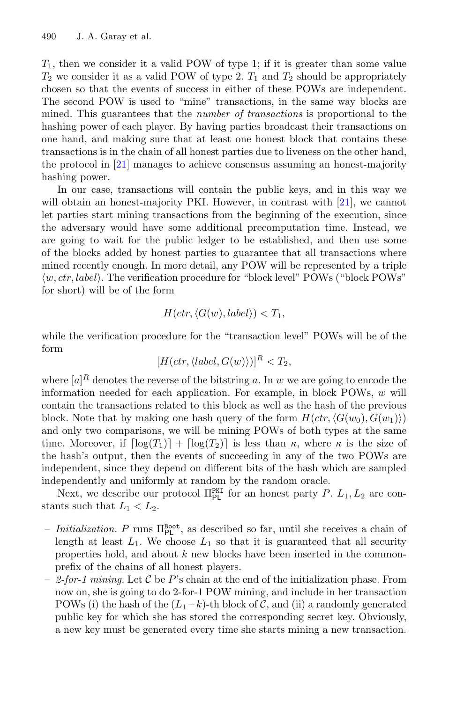$T_1$ , then we consider it a valid POW of type 1; if it is greater than some value  $T_2$  we consider it as a valid POW of type 2.  $T_1$  and  $T_2$  should be appropriately chosen so that the events of success in either of these POWs are independent. The second POW is used to "mine" transactions, in the same way blocks are mined. This guarantees that the *number of transactions* is proportional to the hashing power of each player. By having parties broadcast their transactions on one hand, and making sure that at least one honest block that contains these transactions is in the chain of all honest parties due to liveness on the other hand, the protocol in [\[21](#page-29-0)] manages to achieve consensus assuming an honest-majority hashing power.

In our case, transactions will contain the public keys, and in this way we will obtain an honest-majority PKI. However, in contrast with [\[21\]](#page-29-0), we cannot let parties start mining transactions from the beginning of the execution, since the adversary would have some additional precomputation time. Instead, we are going to wait for the public ledger to be established, and then use some of the blocks added by honest parties to guarantee that all transactions where mined recently enough. In more detail, any POW will be represented by a triple  $\langle w, ctr, label \rangle$ . The verification procedure for "block level" POWs ("block POWs") for short) will be of the form

$$
H(ctr, \langle G(w), label \rangle) < T_1,
$$

while the verification procedure for the "transaction level" POWs will be of the form

$$
[H(ctr, \langle label, G(w) \rangle)]^R < T_2,
$$

where  $[a]^R$  denotes the reverse of the bitstring a. In w we are going to encode the information needed for each application. For example, in block POWs,  $w$  will contain the transactions related to this block as well as the hash of the previous block. Note that by making one hash query of the form  $H(ctr, \langle G(w_0), G(w_1) \rangle)$ and only two comparisons, we will be mining POWs of both types at the same time. Moreover, if  $\lceil \log(T_1) \rceil + \lceil \log(T_2) \rceil$  is less than  $\kappa$ , where  $\kappa$  is the size of the hash's output, then the events of succeeding in any of the two POWs are independent, since they depend on different bits of the hash which are sampled independently and uniformly at random by the random oracle.

Next, we describe our protocol  $\Pi_{\text{PL}}^{\text{PKT}}$  for an honest party P.  $L_1, L_2$  are con-<br>ats such that  $L_1 \leq L_2$ stants such that  $L_1 < L_2$ .

- $-$  *Initialization.* P runs  $\Pi_{PL}^{\text{Boot}}$ , as described so far, until she receives a chain of length at least  $L_4$ . We choose  $L_3$  so that it is guaranteed that all security length at least  $L_1$ . We choose  $L_1$  so that it is guaranteed that all security properties hold, and about k new blocks have been inserted in the commonprefix of the chains of all honest players.
- $-$  2-for-1 mining. Let C be P's chain at the end of the initialization phase. From now on, she is going to do 2-for-1 POW mining, and include in her transaction POWs (i) the hash of the  $(L_1-k)$ -th block of C, and (ii) a randomly generated public key for which she has stored the corresponding secret key. Obviously, a new key must be generated every time she starts mining a new transaction.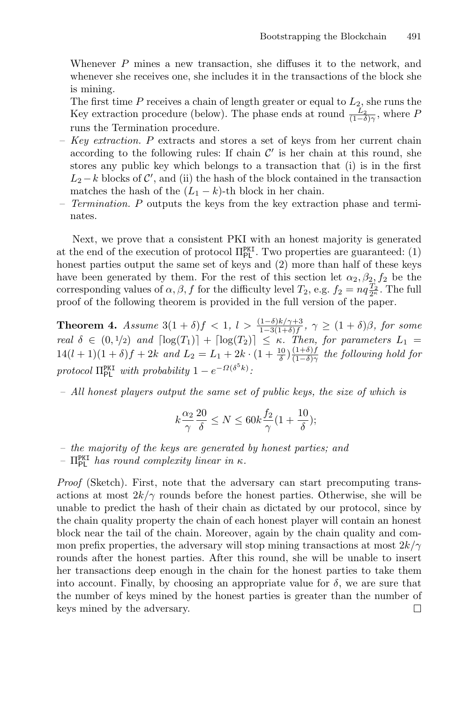Whenever P mines a new transaction, she diffuses it to the network, and whenever she receives one, she includes it in the transactions of the block she is mining.

The first time  $P$  receives a chain of length greater or equal to  $L_2$ , she runs the Key extraction procedure (below). The phase ends at round  $\frac{L_2}{(1-\delta)\gamma}$ , where F runs the Termination procedure.

- *Key extraction.* P extracts and stores a set of keys from her current chain according to the following rules: If chain  $\mathcal{C}'$  is her chain at this round, she stores any public key which belongs to a transaction that (i) is in the first  $L_2 - k$  blocks of  $\mathcal{C}'$ , and (ii) the hash of the block contained in the transaction matches the hash of the  $(L_1 - k)$ -th block in her chain.
- *Termination.* P outputs the keys from the key extraction phase and terminates.

Next, we prove that a consistent PKI with an honest majority is generated at the end of the execution of protocol  $\Pi_{\text{PL}}^{\text{PKL}}$ . Two properties are guaranteed: (1) honest parties output the same set of keys and (2) more than half of these keys honest parties output the same set of keys and (2) more than half of these keys have been generated by them. For the rest of this section let  $\alpha_2, \beta_2, f_2$  be the corresponding values of  $\alpha$ ,  $\beta$ ,  $f$  for the difficulty level  $T_2$ , e.g.  $f_2 = nq \frac{T_2}{2^k}$ . The full proof of the following theorem is provided in the full version of the paper.

**Theorem 4.** *Assume*  $3(1+\delta)f < 1, l > \frac{(1-\delta)k/\gamma+3}{1-3(1+\delta)f}, \gamma \geq (1+\delta)\beta$ , for some *real*  $\delta \in (0, 1/2)$  *and*  $\lceil \log(T_1) \rceil + \lceil \log(T_2) \rceil \leq \kappa$ . Then, for parameters  $L_1 =$  $14(l+1)(1+\delta)f + 2k$  and  $L_2 = L_1 + 2k \cdot (1 + \frac{10}{\delta}) \frac{(1+\delta)f}{(1-\delta)\gamma}$  the following hold for *protocol*  $\Pi_{PL}^{PKI}$  *with probability*  $1 - e^{-\Omega(\delta^5 k)}$ .

*– All honest players output the same set of public keys, the size of which is*

$$
k\frac{\alpha_2}{\gamma}\frac{20}{\delta} \le N \le 60k\frac{f_2}{\gamma}(1+\frac{10}{\delta});
$$

- *the majority of the keys are generated by honest parties; and*
- *–* ΠPKI PL *has round complexity linear in* <sup>κ</sup>*.*

*Proof* (Sketch). First, note that the adversary can start precomputing transactions at most  $2k/\gamma$  rounds before the honest parties. Otherwise, she will be unable to predict the hash of their chain as dictated by our protocol, since by the chain quality property the chain of each honest player will contain an honest block near the tail of the chain. Moreover, again by the chain quality and common prefix properties, the adversary will stop mining transactions at most  $2k/\gamma$ rounds after the honest parties. After this round, she will be unable to insert her transactions deep enough in the chain for the honest parties to take them into account. Finally, by choosing an appropriate value for  $\delta$ , we are sure that the number of keys mined by the honest parties is greater than the number of keys mined by the adversary. $\Box$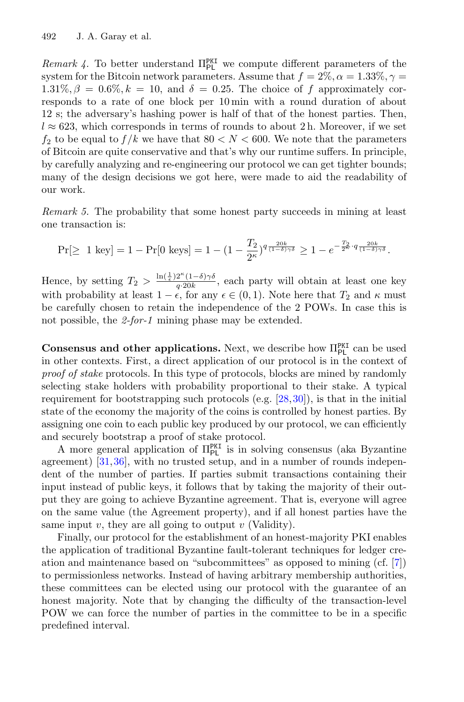*Remark 4.* To better understand  $\Pi_{PL}^{PKL}$  we compute different parameters of the system for the Bitcoin network parameters. Assume that  $f = 2\% \alpha = 1.33\% \alpha =$ system for the Bitcoin network parameters. Assume that  $f = 2\%, \alpha = 1.33\%, \gamma =$  $1.31\%, \beta = 0.6\%, k = 10$ , and  $\delta = 0.25$ . The choice of f approximately corresponds to a rate of one block per 10 min with a round duration of about 12 s; the adversary's hashing power is half of that of the honest parties. Then,  $l \approx 623$ , which corresponds in terms of rounds to about 2 h. Moreover, if we set  $f_2$  to be equal to  $f/k$  we have that  $80 < N < 600$ . We note that the parameters of Bitcoin are quite conservative and that's why our runtime suffers. In principle, by carefully analyzing and re-engineering our protocol we can get tighter bounds; many of the design decisions we got here, were made to aid the readability of our work.

*Remark 5.* The probability that some honest party succeeds in mining at least one transaction is:

$$
\Pr[\geq 1 \text{ key}] = 1 - \Pr[0 \text{ keys}] = 1 - (1 - \frac{T_2}{2^{\kappa}})^{q \frac{20k}{(1-\delta)\gamma\delta}} \geq 1 - e^{-\frac{T_2}{2^{\kappa}} \cdot q \frac{20k}{(1-\delta)\gamma\delta}}.
$$

Hence, by setting  $T_2 > \frac{\ln(\frac{1}{\epsilon})2^{\kappa}(1-\delta)\gamma\delta}{q \cdot 20k}$ , each party will obtain at least one key with probability at least  $1 - \epsilon$ , for any  $\epsilon \in (0, 1)$ . Note here that  $T_2$  and  $\kappa$  must be carefully chosen to retain the independence of the 2 POWs. In case this is not possible, the *2-for-1* mining phase may be extended.

**Consensus and other applications.** Next, we describe how  $\Pi_{\text{PL}}^{\text{PKT}}$  can be used<br>in other contexts. First, a direct application of our protocol is in the context of in other contexts. First, a direct application of our protocol is in the context of *proof of stake* protocols. In this type of protocols, blocks are mined by randomly selecting stake holders with probability proportional to their stake. A typical requirement for bootstrapping such protocols (e.g. [\[28](#page-29-7)[,30](#page-29-8)]), is that in the initial state of the economy the majority of the coins is controlled by honest parties. By assigning one coin to each public key produced by our protocol, we can efficiently and securely bootstrap a proof of stake protocol.

A more general application of  $\Pi_{\text{PL}}^{\text{PKI}}$  is in solving consensus (aka Byzantine<br>equals 131, 36) with no trusted setup, and in a number of rounds independent agreement) [\[31](#page-29-3),[36\]](#page-30-2), with no trusted setup, and in a number of rounds independent of the number of parties. If parties submit transactions containing their input instead of public keys, it follows that by taking the majority of their output they are going to achieve Byzantine agreement. That is, everyone will agree on the same value (the Agreement property), and if all honest parties have the same input  $v$ , they are all going to output  $v$  (Validity).

Finally, our protocol for the establishment of an honest-majority PKI enables the application of traditional Byzantine fault-tolerant techniques for ledger creation and maintenance based on "subcommittees" as opposed to mining (cf. [\[7\]](#page-28-4)) to permissionless networks. Instead of having arbitrary membership authorities, these committees can be elected using our protocol with the guarantee of an honest majority. Note that by changing the difficulty of the transaction-level POW we can force the number of parties in the committee to be in a specific predefined interval.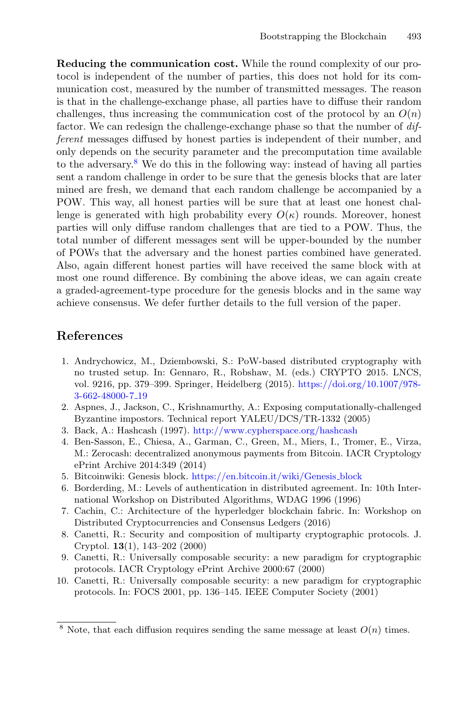**Reducing the communication cost.** While the round complexity of our protocol is independent of the number of parties, this does not hold for its communication cost, measured by the number of transmitted messages. The reason is that in the challenge-exchange phase, all parties have to diffuse their random challenges, thus increasing the communication cost of the protocol by an  $O(n)$ factor. We can redesign the challenge-exchange phase so that the number of *different* messages diffused by honest parties is independent of their number, and only depends on the security parameter and the precomputation time available to the adversary.[8](#page-28-10) We do this in the following way: instead of having all parties sent a random challenge in order to be sure that the genesis blocks that are later mined are fresh, we demand that each random challenge be accompanied by a POW. This way, all honest parties will be sure that at least one honest challenge is generated with high probability every  $O(\kappa)$  rounds. Moreover, honest parties will only diffuse random challenges that are tied to a POW. Thus, the total number of different messages sent will be upper-bounded by the number of POWs that the adversary and the honest parties combined have generated. Also, again different honest parties will have received the same block with at most one round difference. By combining the above ideas, we can again create a graded-agreement-type procedure for the genesis blocks and in the same way achieve consensus. We defer further details to the full version of the paper.

## **References**

- <span id="page-28-2"></span>1. Andrychowicz, M., Dziembowski, S.: PoW-based distributed cryptography with no trusted setup. In: Gennaro, R., Robshaw, M. (eds.) CRYPTO 2015. LNCS, vol. 9216, pp. 379–399. Springer, Heidelberg (2015). [https://doi.org/10.1007/978-](https://doi.org/10.1007/978-3-662-48000-7_19) [3-662-48000-7](https://doi.org/10.1007/978-3-662-48000-7_19) 19
- <span id="page-28-3"></span>2. Aspnes, J., Jackson, C., Krishnamurthy, A.: Exposing computationally-challenged Byzantine impostors. Technical report YALEU/DCS/TR-1332 (2005)
- <span id="page-28-0"></span>3. Back, A.: Hashcash (1997). <http://www.cypherspace.org/hashcash>
- <span id="page-28-6"></span>4. Ben-Sasson, E., Chiesa, A., Garman, C., Green, M., Miers, I., Tromer, E., Virza, M.: Zerocash: decentralized anonymous payments from Bitcoin. IACR Cryptology ePrint Archive 2014:349 (2014)
- <span id="page-28-1"></span>5. Bitcoinwiki: Genesis block. [https://en.bitcoin.it/wiki/Genesis](https://en.bitcoin.it/wiki/Genesis_block) block
- <span id="page-28-5"></span>6. Borderding, M.: Levels of authentication in distributed agreement. In: 10th International Workshop on Distributed Algorithms, WDAG 1996 (1996)
- <span id="page-28-4"></span>7. Cachin, C.: Architecture of the hyperledger blockchain fabric. In: Workshop on Distributed Cryptocurrencies and Consensus Ledgers (2016)
- <span id="page-28-7"></span>8. Canetti, R.: Security and composition of multiparty cryptographic protocols. J. Cryptol. **13**(1), 143–202 (2000)
- <span id="page-28-8"></span>9. Canetti, R.: Universally composable security: a new paradigm for cryptographic protocols. IACR Cryptology ePrint Archive 2000:67 (2000)
- <span id="page-28-9"></span>10. Canetti, R.: Universally composable security: a new paradigm for cryptographic protocols. In: FOCS 2001, pp. 136–145. IEEE Computer Society (2001)

<span id="page-28-10"></span><sup>&</sup>lt;sup>8</sup> Note, that each diffusion requires sending the same message at least  $O(n)$  times.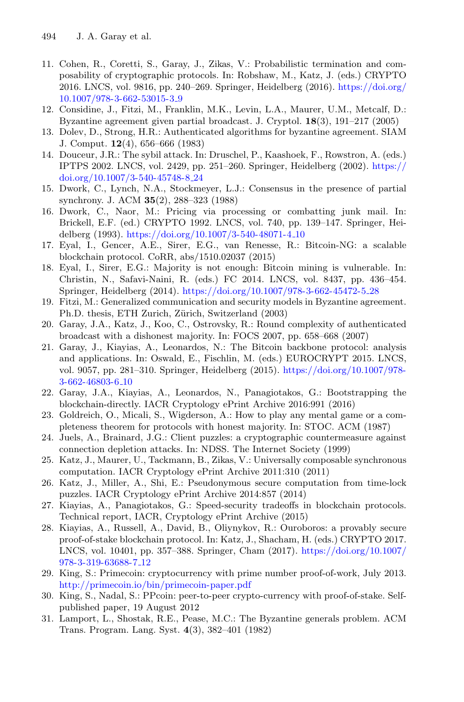- <span id="page-29-15"></span>11. Cohen, R., Coretti, S., Garay, J., Zikas, V.: Probabilistic termination and composability of cryptographic protocols. In: Robshaw, M., Katz, J. (eds.) CRYPTO 2016. LNCS, vol. 9816, pp. 240–269. Springer, Heidelberg (2016). [https://doi.org/](https://doi.org/10.1007/978-3-662-53015-3_9) [10.1007/978-3-662-53015-3](https://doi.org/10.1007/978-3-662-53015-3_9) 9
- <span id="page-29-4"></span>12. Considine, J., Fitzi, M., Franklin, M.K., Levin, L.A., Maurer, U.M., Metcalf, D.: Byzantine agreement given partial broadcast. J. Cryptol. **18**(3), 191–217 (2005)
- <span id="page-29-13"></span>13. Dolev, D., Strong, H.R.: Authenticated algorithms for byzantine agreement. SIAM J. Comput. **12**(4), 656–666 (1983)
- <span id="page-29-12"></span>14. Douceur, J.R.: The sybil attack. In: Druschel, P., Kaashoek, F., Rowstron, A. (eds.) IPTPS 2002. LNCS, vol. 2429, pp. 251–260. Springer, Heidelberg (2002). [https://](https://doi.org/10.1007/3-540-45748-8_24) [doi.org/10.1007/3-540-45748-8](https://doi.org/10.1007/3-540-45748-8_24) 24
- <span id="page-29-17"></span>15. Dwork, C., Lynch, N.A., Stockmeyer, L.J.: Consensus in the presence of partial synchrony. J. ACM **35**(2), 288–323 (1988)
- <span id="page-29-1"></span>16. Dwork, C., Naor, M.: Pricing via processing or combatting junk mail. In: Brickell, E.F. (ed.) CRYPTO 1992. LNCS, vol. 740, pp. 139–147. Springer, Heidelberg (1993). [https://doi.org/10.1007/3-540-48071-4](https://doi.org/10.1007/3-540-48071-4_10) 10
- <span id="page-29-10"></span>17. Eyal, I., Gencer, A.E., Sirer, E.G., van Renesse, R.: Bitcoin-NG: a scalable blockchain protocol. CoRR, abs/1510.02037 (2015)
- <span id="page-29-11"></span>18. Eyal, I., Sirer, E.G.: Majority is not enough: Bitcoin mining is vulnerable. In: Christin, N., Safavi-Naini, R. (eds.) FC 2014. LNCS, vol. 8437, pp. 436–454. Springer, Heidelberg (2014). [https://doi.org/10.1007/978-3-662-45472-5](https://doi.org/10.1007/978-3-662-45472-5_28) 28
- <span id="page-29-5"></span>19. Fitzi, M.: Generalized communication and security models in Byzantine agreement. Ph.D. thesis, ETH Zurich, Zürich, Switzerland (2003)
- <span id="page-29-14"></span>20. Garay, J.A., Katz, J., Koo, C., Ostrovsky, R.: Round complexity of authenticated broadcast with a dishonest majority. In: FOCS 2007, pp. 658–668 (2007)
- <span id="page-29-0"></span>21. Garay, J., Kiayias, A., Leonardos, N.: The Bitcoin backbone protocol: analysis and applications. In: Oswald, E., Fischlin, M. (eds.) EUROCRYPT 2015. LNCS, vol. 9057, pp. 281–310. Springer, Heidelberg (2015). [https://doi.org/10.1007/978-](https://doi.org/10.1007/978-3-662-46803-6_10) [3-662-46803-6](https://doi.org/10.1007/978-3-662-46803-6_10) 10
- <span id="page-29-18"></span>22. Garay, J.A., Kiayias, A., Leonardos, N., Panagiotakos, G.: Bootstrapping the blockchain-directly. IACR Cryptology ePrint Archive 2016:991 (2016)
- <span id="page-29-6"></span>23. Goldreich, O., Micali, S., Wigderson, A.: How to play any mental game or a completeness theorem for protocols with honest majority. In: STOC. ACM (1987)
- <span id="page-29-2"></span>24. Juels, A., Brainard, J.G.: Client puzzles: a cryptographic countermeasure against connection depletion attacks. In: NDSS. The Internet Society (1999)
- <span id="page-29-19"></span>25. Katz, J., Maurer, U., Tackmann, B., Zikas, V.: Universally composable synchronous computation. IACR Cryptology ePrint Archive 2011:310 (2011)
- <span id="page-29-16"></span>26. Katz, J., Miller, A., Shi, E.: Pseudonymous secure computation from time-lock puzzles. IACR Cryptology ePrint Archive 2014:857 (2014)
- <span id="page-29-20"></span>27. Kiayias, A., Panagiotakos, G.: Speed-security tradeoffs in blockchain protocols. Technical report, IACR, Cryptology ePrint Archive (2015)
- <span id="page-29-7"></span>28. Kiayias, A., Russell, A., David, B., Oliynykov, R.: Ouroboros: a provably secure proof-of-stake blockchain protocol. In: Katz, J., Shacham, H. (eds.) CRYPTO 2017. LNCS, vol. 10401, pp. 357–388. Springer, Cham (2017). [https://doi.org/10.1007/](https://doi.org/10.1007/978-3-319-63688-7_12) [978-3-319-63688-7](https://doi.org/10.1007/978-3-319-63688-7_12) 12
- <span id="page-29-9"></span>29. King, S.: Primecoin: cryptocurrency with prime number proof-of-work, July 2013. <http://primecoin.io/bin/primecoin-paper.pdf>
- <span id="page-29-8"></span>30. King, S., Nadal, S.: PPcoin: peer-to-peer crypto-currency with proof-of-stake. Selfpublished paper, 19 August 2012
- <span id="page-29-3"></span>31. Lamport, L., Shostak, R.E., Pease, M.C.: The Byzantine generals problem. ACM Trans. Program. Lang. Syst. **4**(3), 382–401 (1982)